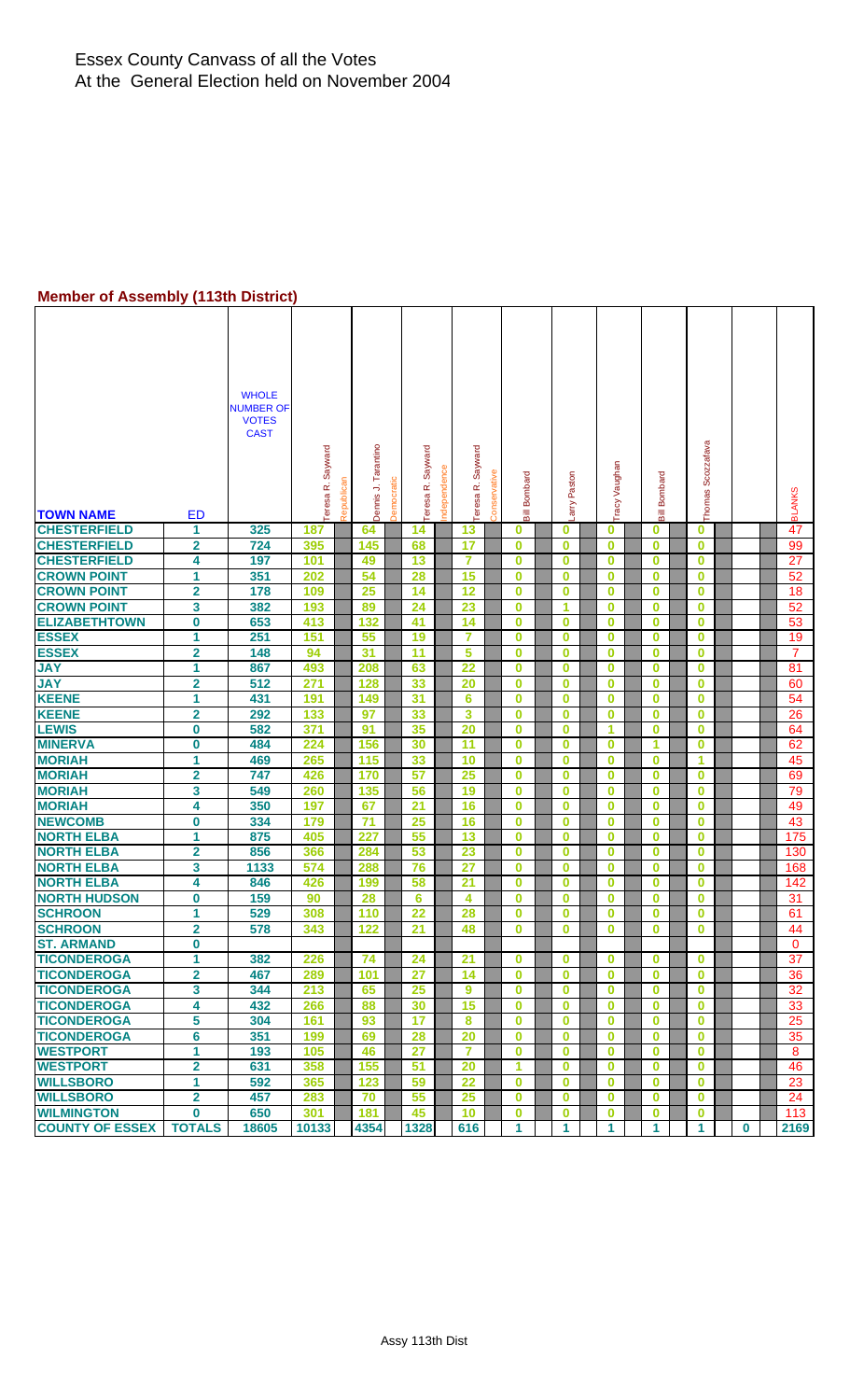#### **Member of Assembly (113th District)**

| <b>TOWN NAME</b>       | <b>ED</b>               | <b>WHOLE</b><br><b>NUMBER OF</b><br><b>VOTES</b><br><b>CAST</b> | eresa R. Sayward | Republica | Tarantino<br><b>Democratic</b><br>⇒<br>Dennis | Teresa R. Sayward | ndependence | Sayward<br>œ<br>Teresa | Conservative | Bombard<br>Bill         | arry Paston |          | Tracy Vaughan | <b>Bill Bombard</b> | Thomas Scozzafava |          | <b>BLANKS</b> |
|------------------------|-------------------------|-----------------------------------------------------------------|------------------|-----------|-----------------------------------------------|-------------------|-------------|------------------------|--------------|-------------------------|-------------|----------|---------------|---------------------|-------------------|----------|---------------|
| <b>CHESTERFIELD</b>    | 1                       | 325                                                             | 187              | 64        |                                               | 14                |             | 13                     |              | $\bf{0}$                | 0           | $\bf{0}$ |               | $\bf{0}$            | $\bf{0}$          |          | 47            |
| <b>CHESTERFIELD</b>    | $\overline{2}$          | 724                                                             | 395              | 145       |                                               | 68                |             | 17                     |              | $\bf{0}$                | $\bf{0}$    | $\bf{0}$ |               | $\bf{0}$            | $\bf{0}$          |          | 99            |
| <b>CHESTERFIELD</b>    | 4                       | 197                                                             | 101              | 49        |                                               | 13                |             | 7                      |              | $\mathbf 0$             | 0           | $\bf{0}$ |               | 0                   | $\bf{0}$          |          | 27            |
| <b>CROWN POINT</b>     | 1                       | 351                                                             | 202              | 54        |                                               | 28                |             | 15                     |              | $\mathbf 0$             | $\bf{0}$    | $\bf{0}$ |               | $\bf{0}$            | $\bf{0}$          |          | 52            |
| <b>CROWN POINT</b>     | $\overline{\mathbf{2}}$ | 178                                                             | 109              | 25        |                                               | 14                |             | 12                     |              | $\overline{\mathbf{0}}$ | $\bf{0}$    | $\bf{0}$ |               | $\bf{0}$            | $\bf{0}$          |          | 18            |
| <b>CROWN POINT</b>     | 3                       | 382                                                             | 193              | 89        |                                               | 24                |             | 23                     |              | $\bf{0}$                | 1           |          | $\bf{0}$      | $\bf{0}$            | $\bf{0}$          |          | 52            |
| <b>ELIZABETHTOWN</b>   | 0                       | 653                                                             | 413              | 132       |                                               | 41                |             | 14                     |              | $\bf{0}$                | 0           | $\bf{0}$ |               | 0                   | $\bf{0}$          |          | 53            |
| <b>ESSEX</b>           | 1                       | 251                                                             | 151              | 55        |                                               | 19                |             | $\overline{7}$         |              | $\bf{0}$                | $\bf{0}$    | $\bf{0}$ |               | $\bf{0}$            | $\bf{0}$          |          | 19            |
| <b>ESSEX</b>           | $\overline{\mathbf{2}}$ | 148                                                             | 94               | 31        |                                               | 11                |             | 5                      |              | $\bf{0}$                | 0           | $\bf{0}$ |               | $\bf{0}$            | $\bf{0}$          |          | 7             |
| <b>JAY</b>             | 1                       | 867                                                             | 493              | 208       |                                               | 63                |             | 22                     |              | $\bf{0}$                | 0           | $\bf{0}$ |               | $\bf{0}$            | $\bf{0}$          |          | 81            |
| <b>JAY</b>             | $\overline{\mathbf{2}}$ | 512                                                             | 271              | 128       |                                               | 33                |             | 20                     |              | $\bf{0}$                | $\mathbf 0$ | $\bf{0}$ |               | $\bf{0}$            | $\bf{0}$          |          | 60            |
| <b>KEENE</b>           | 1                       | 431                                                             | 191              | 149       |                                               | 31                |             | 6                      |              | $\bf{0}$                | 0           | $\bf{0}$ |               | $\bf{0}$            | $\bf{0}$          |          | 54            |
| <b>KEENE</b>           | $\mathbf 2$             | 292                                                             | 133              | 97        |                                               | 33                |             | 3                      |              | $\bf{0}$                | 0           | $\bf{0}$ |               | $\bf{0}$            | $\bf{0}$          |          | 26            |
| <b>LEWIS</b>           | 0                       | 582                                                             | 371              | 91        |                                               | 35                |             | 20                     |              | $\bf{0}$                | 0           | 1        |               | $\bf{0}$            | $\bf{0}$          |          | 64            |
| <b>MINERVA</b>         | 0                       | 484                                                             | 224              | 156       |                                               | 30                |             | 11                     |              | $\bf{0}$                | $\bf{0}$    | $\bf{0}$ |               | 1                   | $\bf{0}$          |          | 62            |
| <b>MORIAH</b>          | 1                       | 469                                                             | 265              | 115       |                                               | 33                |             | 10                     |              | $\bf{0}$                | $\bf{0}$    | $\bf{0}$ |               | $\bf{0}$            | 1                 |          | 45            |
| <b>MORIAH</b>          | $\overline{\mathbf{2}}$ | 747                                                             | 426              | 170       |                                               | 57                |             | 25                     |              | $\bf{0}$                | 0           | $\bf{0}$ |               | $\bf{0}$            | $\bf{0}$          |          | 69            |
| <b>MORIAH</b>          | 3                       | 549                                                             | 260              | 135       |                                               | 56                |             | 19                     |              | $\bf{0}$                | 0           | $\bf{0}$ |               | $\bf{0}$            | $\bf{0}$          |          | 79            |
| <b>MORIAH</b>          | 4                       | 350                                                             | 197              | 67        |                                               | 21                |             | 16                     |              | $\bf{0}$                | 0           | $\bf{0}$ |               | $\bf{0}$            | $\bf{0}$          |          | 49            |
| <b>NEWCOMB</b>         | 0                       | 334                                                             | 179              | 71        |                                               | 25                |             | 16                     |              | $\bf{0}$                | 0           | $\bf{0}$ |               | 0                   | $\bf{0}$          |          | 43            |
| <b>NORTH ELBA</b>      | 1                       | 875                                                             | 405              | 227       |                                               | 55                |             | 13                     |              | $\bf{0}$                | $\bf{0}$    | $\bf{0}$ |               | $\bf{0}$            | $\bf{0}$          |          | 175           |
| <b>NORTH ELBA</b>      | $\overline{\mathbf{2}}$ | 856                                                             | 366              | 284       |                                               | 53                |             | 23                     |              | $\bf{0}$                | 0           | $\bf{0}$ |               | $\bf{0}$            | $\bf{0}$          |          | 130           |
| <b>NORTH ELBA</b>      | 3                       | 1133                                                            | 574              | 288       |                                               | 76                |             | 27                     |              | $\bf{0}$                | $\bf{0}$    | $\bf{0}$ |               | $\bf{0}$            | $\bf{0}$          |          | 168           |
| <b>NORTH ELBA</b>      | 4                       | 846                                                             | 426              | 199       |                                               | 58                |             | 21                     |              | $\bf{0}$                | $\bf{0}$    | $\bf{0}$ |               | $\bf{0}$            | $\bf{0}$          |          | 142           |
| <b>NORTH HUDSON</b>    | 0                       | 159                                                             | 90               | 28        |                                               | 6                 |             | 4                      |              | $\bf{0}$                | 0           | $\bf{0}$ |               | 0                   | $\bf{0}$          |          | 31            |
| <b>SCHROON</b>         | 1                       | 529                                                             | 308              | 110       |                                               | 22                |             | 28                     |              | 0                       | 0           | $\bf{0}$ |               | $\bf{0}$            | $\bf{0}$          |          | 61            |
| <b>SCHROON</b>         | 2                       | 578                                                             | 343              | 122       |                                               | 21                |             | 48                     |              | U                       | U           | U        |               | U                   | U                 |          | 44            |
| <b>ST. ARMAND</b>      | 0                       |                                                                 |                  |           |                                               |                   |             |                        |              |                         |             |          |               |                     |                   |          | 0             |
| <b>TICONDEROGA</b>     | 1                       | 382                                                             | 226              | 74        |                                               | 24                |             | 21                     |              | $\bf{0}$                | $\bf{0}$    | $\bf{0}$ |               | $\bf{0}$            | $\bf{0}$          |          | 37            |
| <b>TICONDEROGA</b>     | $\overline{\mathbf{2}}$ | 467                                                             | 289              | 101       |                                               | 27                |             | 14                     |              | $\bf{0}$                | $\bf{0}$    |          | $\bf{0}$      | $\bf{0}$            | $\bf{0}$          |          | 36            |
| <b>TICONDEROGA</b>     | 3                       | 344                                                             | 213              | 65        |                                               | 25                |             | 9                      |              | $\bf{0}$                | 0           | $\bf{0}$ |               | $\bf{0}$            | $\bf{0}$          |          | 32            |
| <b>TICONDEROGA</b>     | 4                       | 432                                                             | 266              | 88        |                                               | 30                |             | 15                     |              | $\bf{0}$                | 0           | $\bf{0}$ |               | 0                   | $\bf{0}$          |          | 33            |
| <b>TICONDEROGA</b>     | 5                       | 304                                                             | 161              | 93        |                                               | 17                |             | 8                      |              | $\bf{0}$                | $\bf{0}$    | $\bf{0}$ |               | $\bf{0}$            | $\bf{0}$          |          | 25            |
| <b>TICONDEROGA</b>     | 6                       | 351                                                             | 199              | 69        |                                               | 28                |             | 20                     |              | $\bf{0}$                | $\bf{0}$    | $\bf{0}$ |               | $\bf{0}$            | $\bf{0}$          |          | 35            |
| <b>WESTPORT</b>        | 1                       | 193                                                             | 105              | 46        |                                               | 27                |             | 7                      |              | $\bf{0}$                | 0           | $\bf{0}$ |               | $\bf{0}$            | $\bf{0}$          |          | 8             |
| <b>WESTPORT</b>        | $\overline{\mathbf{2}}$ | 631                                                             | 358              | 155       |                                               | 51                |             | 20                     |              | 1                       | $\bf{0}$    | $\bf{0}$ |               | $\bf{0}$            | $\bf{0}$          |          | 46            |
| <b>WILLSBORO</b>       | 1                       | 592                                                             | 365              | 123       |                                               | 59                |             | 22                     |              | $\bf{0}$                | 0           | $\bf{0}$ |               | $\bf{0}$            | $\bf{0}$          |          | 23            |
| <b>WILLSBORO</b>       | $\mathbf 2$             | 457                                                             | 283              | 70        |                                               | 55                |             | 25                     |              | $\bf{0}$                | 0           | $\bf{0}$ |               | $\bf{0}$            | $\bf{0}$          |          | 24            |
| <b>WILMINGTON</b>      | 0                       | 650                                                             | 301              | 181       |                                               | 45                |             | 10                     |              | $\bf{0}$                | 0           | $\bf{0}$ |               | $\bf{0}$            | $\bf{0}$          |          | 113           |
| <b>COUNTY OF ESSEX</b> | <b>TOTALS</b>           | 18605                                                           | 10133            | 4354      |                                               | 1328              |             | 616                    |              | 1                       | 1           | 1        |               | 1                   | 1                 | $\bf{0}$ | 2169          |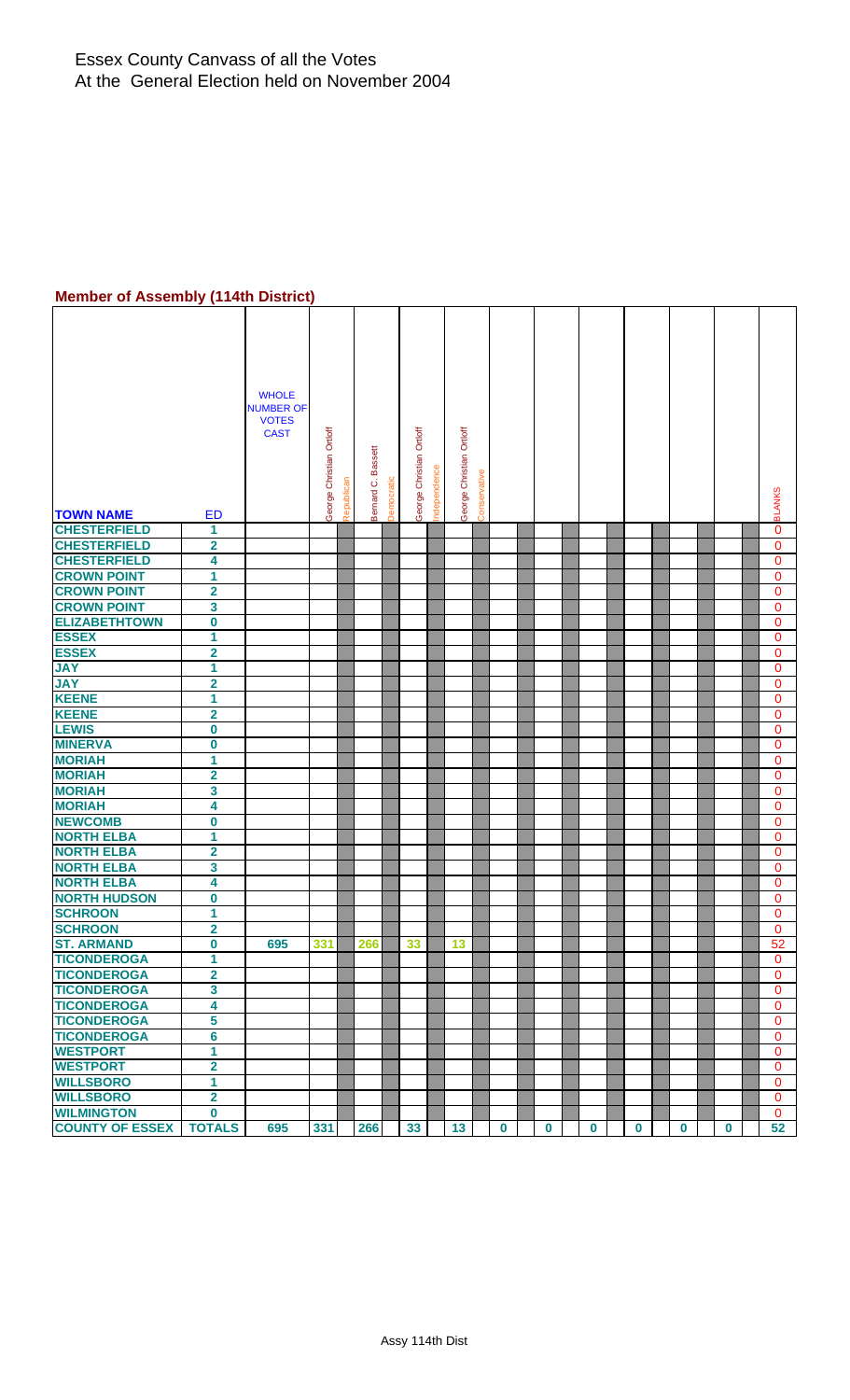#### **Member of Assembly (114th District)**

| -- - --------- <i>-</i>         | .                       |                                                                 |                          |            |                                  |                             |             |                          |              |             |             |             |             |             |          |               |
|---------------------------------|-------------------------|-----------------------------------------------------------------|--------------------------|------------|----------------------------------|-----------------------------|-------------|--------------------------|--------------|-------------|-------------|-------------|-------------|-------------|----------|---------------|
| <b>TOWN NAME</b>                | <b>ED</b>               | <b>WHOLE</b><br><b>NUMBER OF</b><br><b>VOTES</b><br><b>CAST</b> | George Christian Ortloff | Republican | Bernard C. Bassett<br>Democratic | Christian Ortloff<br>George | ndependence | George Christian Ortloff | Conservative |             |             |             |             |             |          | <b>BLANKS</b> |
| <b>CHESTERFIELD</b>             | 1                       |                                                                 |                          |            |                                  |                             |             |                          |              |             |             |             |             |             |          | 0             |
| <b>CHESTERFIELD</b>             | $\overline{\mathbf{2}}$ |                                                                 |                          |            |                                  |                             |             |                          |              |             |             |             |             |             |          | $\mathbf 0$   |
| <b>CHESTERFIELD</b>             | 4                       |                                                                 |                          |            |                                  |                             |             |                          |              |             |             |             |             |             |          | $\mathbf{0}$  |
| <b>CROWN POINT</b>              | $\overline{1}$          |                                                                 |                          |            |                                  |                             |             |                          |              |             |             |             |             |             |          | 0             |
| <b>CROWN POINT</b>              | $\overline{\mathbf{2}}$ |                                                                 |                          |            |                                  |                             |             |                          |              |             |             |             |             |             |          | $\mathbf{0}$  |
| <b>CROWN POINT</b>              | 3                       |                                                                 |                          |            |                                  |                             |             |                          |              |             |             |             |             |             |          | 0             |
| <b>ELIZABETHTOWN</b>            | $\overline{\mathbf{0}}$ |                                                                 |                          |            |                                  |                             |             |                          |              |             |             |             |             |             |          | 0             |
| <b>ESSEX</b>                    | 1                       |                                                                 |                          |            |                                  |                             |             |                          |              |             |             |             |             |             |          | 0             |
| <b>ESSEX</b>                    | $\overline{\mathbf{2}}$ |                                                                 |                          |            |                                  |                             |             |                          |              |             |             |             |             |             |          | 0             |
| <b>JAY</b>                      | 1                       |                                                                 |                          |            |                                  |                             |             |                          |              |             |             |             |             |             |          | 0             |
| <b>JAY</b>                      | $\overline{\mathbf{2}}$ |                                                                 |                          |            |                                  |                             |             |                          |              |             |             |             |             |             |          | 0             |
| <b>KEENE</b>                    | 1                       |                                                                 |                          |            |                                  |                             |             |                          |              |             |             |             |             |             |          | $\mathbf 0$   |
| <b>KEENE</b>                    | $\overline{\mathbf{2}}$ |                                                                 |                          |            |                                  |                             |             |                          |              |             |             |             |             |             |          | 0             |
| <b>LEWIS</b>                    | 0                       |                                                                 |                          |            |                                  |                             |             |                          |              |             |             |             |             |             |          | 0             |
| <b>MINERVA</b>                  | $\overline{\mathbf{0}}$ |                                                                 |                          |            |                                  |                             |             |                          |              |             |             |             |             |             |          | $\mathbf{0}$  |
| <b>MORIAH</b>                   | $\overline{\mathbf{1}}$ |                                                                 |                          |            |                                  |                             |             |                          |              |             |             |             |             |             |          | 0             |
| <b>MORIAH</b>                   | $\overline{\mathbf{2}}$ |                                                                 |                          |            |                                  |                             |             |                          |              |             |             |             |             |             |          |               |
| <b>MORIAH</b>                   | 3                       |                                                                 |                          |            |                                  |                             |             |                          |              |             |             |             |             |             |          | 0<br>0        |
| <b>MORIAH</b>                   | 4                       |                                                                 |                          |            |                                  |                             |             |                          |              |             |             |             |             |             |          | $\mathbf{0}$  |
| <b>NEWCOMB</b>                  |                         |                                                                 |                          |            |                                  |                             |             |                          |              |             |             |             |             |             |          |               |
|                                 | 0                       |                                                                 |                          |            |                                  |                             |             |                          |              |             |             |             |             |             |          | 0             |
| <b>NORTH ELBA</b>               | 1                       |                                                                 |                          |            |                                  |                             |             |                          |              |             |             |             |             |             |          | 0             |
| <b>NORTH ELBA</b>               | $\overline{\mathbf{2}}$ |                                                                 |                          |            |                                  |                             |             |                          |              |             |             |             |             |             |          | 0             |
| <b>NORTH ELBA</b>               | 3                       |                                                                 |                          |            |                                  |                             |             |                          |              |             |             |             |             |             |          | 0             |
| <b>NORTH ELBA</b>               | 4                       |                                                                 |                          |            |                                  |                             |             |                          |              |             |             |             |             |             |          | $\mathbf{0}$  |
| <b>NORTH HUDSON</b>             | $\pmb{0}$               |                                                                 |                          |            |                                  |                             |             |                          |              |             |             |             |             |             |          | 0             |
| <b>SCHROON</b>                  | 1                       |                                                                 |                          |            |                                  |                             |             |                          |              |             |             |             |             |             |          | 0             |
| <b>SCHROON</b>                  | 2                       |                                                                 |                          |            |                                  |                             |             |                          |              |             |             |             |             |             |          | 0             |
| <b>ST. ARMAND</b>               | $\overline{\mathbf{0}}$ | 695                                                             | 331                      | 266        |                                  | 33                          |             | 13                       |              |             |             |             |             |             |          | 52            |
| <b>TICONDEROGA</b>              | 1                       |                                                                 |                          |            |                                  |                             |             |                          |              |             |             |             |             |             |          | $\mathbf{0}$  |
| <b>TICONDEROGA</b>              | $\overline{\mathbf{2}}$ |                                                                 |                          |            |                                  |                             |             |                          |              |             |             |             |             |             |          | 0             |
| <b>TICONDEROGA</b>              | $\overline{\mathbf{3}}$ |                                                                 |                          |            |                                  |                             |             |                          |              |             |             |             |             |             |          | $\mathbf 0$   |
| <b>TICONDEROGA</b>              | 4                       |                                                                 |                          |            |                                  |                             |             |                          |              |             |             |             |             |             |          | 0             |
| <b>TICONDEROGA</b>              | 5                       |                                                                 |                          |            |                                  |                             |             |                          |              |             |             |             |             |             |          | 0             |
| <b>TICONDEROGA</b>              | $6\phantom{a}$          |                                                                 |                          |            |                                  |                             |             |                          |              |             |             |             |             |             |          | 0             |
| <b>WESTPORT</b>                 | $\overline{1}$          |                                                                 |                          |            |                                  |                             |             |                          |              |             |             |             |             |             |          | 0             |
| <b>WESTPORT</b>                 | $\overline{\mathbf{2}}$ |                                                                 |                          |            |                                  |                             |             |                          |              |             |             |             |             |             |          | 0             |
| <b>WILLSBORO</b>                | $\overline{1}$          |                                                                 |                          |            |                                  |                             |             |                          |              |             |             |             |             |             |          | $\mathbf 0$   |
| <b>WILLSBORO</b>                | $\overline{\mathbf{2}}$ |                                                                 |                          |            |                                  |                             |             |                          |              |             |             |             |             |             |          | $\mathbf{0}$  |
| <b>WILMINGTON</b>               | 0                       |                                                                 |                          |            |                                  |                             |             |                          |              |             |             |             |             |             |          | $\mathbf 0$   |
| <b>COUNTY OF ESSEX   TOTALS</b> |                         | 695                                                             | 331                      | 266        |                                  | 33 <sup>°</sup>             |             | 13                       |              | $\mathbf 0$ | $\mathbf 0$ | $\mathbf 0$ | $\mathbf 0$ | $\mathbf 0$ | $\bf{0}$ | 52            |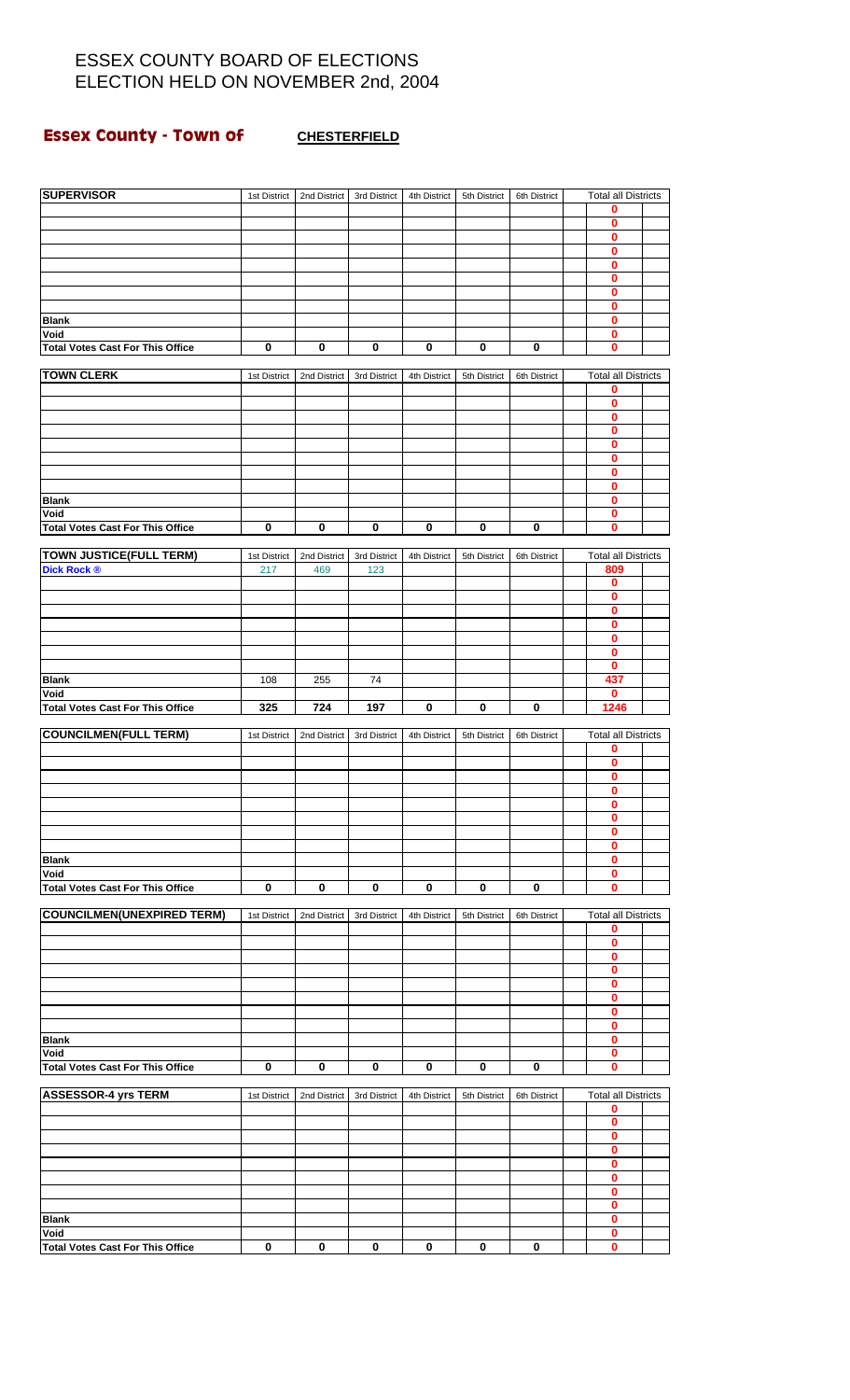#### **Essex County - Town of CHESTERFIELD**

| <b>SUPERVISOR</b>                       | 1st District | 2nd District | 3rd District | 4th District | 5th District | 6th District | <b>Total all Districts</b><br>0 |  |
|-----------------------------------------|--------------|--------------|--------------|--------------|--------------|--------------|---------------------------------|--|
|                                         |              |              |              |              |              |              | 0                               |  |
|                                         |              |              |              |              |              |              | 0                               |  |
|                                         |              |              |              |              |              |              | $\mathbf 0$                     |  |
|                                         |              |              |              |              |              |              | $\mathbf 0$                     |  |
|                                         |              |              |              |              |              |              | $\mathbf{0}$                    |  |
|                                         |              |              |              |              |              |              | $\mathbf 0$                     |  |
|                                         |              |              |              |              |              |              | 0                               |  |
| <b>Blank</b>                            |              |              |              |              |              |              | $\bf{0}$                        |  |
| Void                                    |              |              |              |              |              |              | $\bf{0}$                        |  |
| <b>Total Votes Cast For This Office</b> | 0            | 0            | 0            | 0            | 0            | 0            | 0                               |  |
| <b>TOWN CLERK</b>                       | 1st District | 2nd District | 3rd District | 4th District | 5th District | 6th District | <b>Total all Districts</b>      |  |
|                                         |              |              |              |              |              |              | 0                               |  |
|                                         |              |              |              |              |              |              | $\bf{0}$                        |  |
|                                         |              |              |              |              |              |              | 0                               |  |
|                                         |              |              |              |              |              |              | $\pmb{0}$                       |  |
|                                         |              |              |              |              |              |              | $\bf{0}$                        |  |
|                                         |              |              |              |              |              |              | 0                               |  |
|                                         |              |              |              |              |              |              | $\pmb{0}$                       |  |
|                                         |              |              |              |              |              |              | 0                               |  |
| <b>Blank</b>                            |              |              |              |              |              |              | $\mathbf 0$                     |  |
| Void                                    |              |              |              |              |              |              | 0<br>$\bf{0}$                   |  |
| <b>Total Votes Cast For This Office</b> | $\mathbf 0$  | $\mathbf 0$  | $\bf{0}$     | 0            | 0            | $\bf{0}$     |                                 |  |
| <b>TOWN JUSTICE(FULL TERM)</b>          | 1st District | 2nd District | 3rd District | 4th District | 5th District | 6th District | <b>Total all Districts</b>      |  |
| <b>Dick Rock ®</b>                      | 217          | 469          | 123          |              |              |              | 809                             |  |
|                                         |              |              |              |              |              |              | 0                               |  |
|                                         |              |              |              |              |              |              | 0                               |  |
|                                         |              |              |              |              |              |              | $\overline{\mathbf{0}}$         |  |
|                                         |              |              |              |              |              |              | 0                               |  |
|                                         |              |              |              |              |              |              | 0                               |  |
|                                         |              |              |              |              |              |              | $\bf{0}$                        |  |
|                                         |              |              |              |              |              |              | 0                               |  |
| <b>Blank</b>                            | 108          | 255          | 74           |              |              |              | 437                             |  |
| Void                                    |              |              |              |              |              |              | 0                               |  |
| <b>Total Votes Cast For This Office</b> | 325          | 724          | 197          | 0            | $\bf{0}$     | $\bf{0}$     | 1246                            |  |
| <b>COUNCILMEN(FULL TERM)</b>            | 1st District | 2nd District | 3rd District | 4th District | 5th District | 6th District | <b>Total all Districts</b>      |  |
|                                         |              |              |              |              |              |              | 0                               |  |
|                                         |              |              |              |              |              |              | $\overline{\mathbf{0}}$         |  |
|                                         |              |              |              |              |              |              | 0                               |  |
|                                         |              |              |              |              |              |              | $\bf{0}$                        |  |
|                                         |              |              |              |              |              |              | v                               |  |
|                                         |              |              |              |              |              |              | $\bf{0}$                        |  |
|                                         |              |              |              |              |              |              | 0                               |  |
|                                         |              |              |              |              |              |              | 0                               |  |
| <b>Blank</b>                            |              |              |              |              |              |              | $\overline{\mathbf{0}}$         |  |
| Void                                    |              |              |              |              |              |              | 0                               |  |
| <b>Total Votes Cast For This Office</b> | $\bf{0}$     | 0            | 0            | 0            | 0            | 0            | 0                               |  |
| <b>COUNCILMEN(UNEXPIRED TERM)</b>       | 1st District | 2nd District | 3rd District | 4th District | 5th District | 6th District | <b>Total all Districts</b>      |  |
|                                         |              |              |              |              |              |              | 0                               |  |
|                                         |              |              |              |              |              |              | $\mathbf 0$                     |  |
|                                         |              |              |              |              |              |              | 0                               |  |
|                                         |              |              |              |              |              |              | $\pmb{0}$                       |  |
|                                         |              |              |              |              |              |              | 0                               |  |
|                                         |              |              |              |              |              |              | $\mathbf 0$                     |  |
|                                         |              |              |              |              |              |              | $\mathbf 0$                     |  |
|                                         |              |              |              |              |              |              | $\pmb{0}$                       |  |
| <b>Blank</b>                            |              |              |              |              |              |              | 0                               |  |
| Void                                    |              |              |              |              |              |              | $\mathbf 0$                     |  |
| <b>Total Votes Cast For This Office</b> | $\mathbf 0$  | $\mathbf 0$  | $\bf{0}$     | $\bf{0}$     | $\bf{0}$     | 0            | 0                               |  |
| <b>ASSESSOR-4 yrs TERM</b>              | 1st District | 2nd District | 3rd District | 4th District | 5th District | 6th District | <b>Total all Districts</b>      |  |
|                                         |              |              |              |              |              |              | 0                               |  |
|                                         |              |              |              |              |              |              | $\bf{0}$                        |  |
|                                         |              |              |              |              |              |              | $\bf{0}$                        |  |
|                                         |              |              |              |              |              |              | $\mathbf 0$                     |  |
|                                         |              |              |              |              |              |              | $\bf{0}$                        |  |
|                                         |              |              |              |              |              |              | $\bf{0}$                        |  |
|                                         |              |              |              |              |              |              | $\mathbf 0$                     |  |
|                                         |              |              |              |              |              |              | $\pmb{0}$                       |  |
| <b>Blank</b><br>Void                    |              |              |              |              |              |              | $\mathbf{0}$<br>0               |  |
| <b>Total Votes Cast For This Office</b> | $\bf{0}$     | $\bf{0}$     | $\pmb{0}$    | 0            | 0            | $\bf{0}$     | $\bf{0}$                        |  |
|                                         |              |              |              |              |              |              |                                 |  |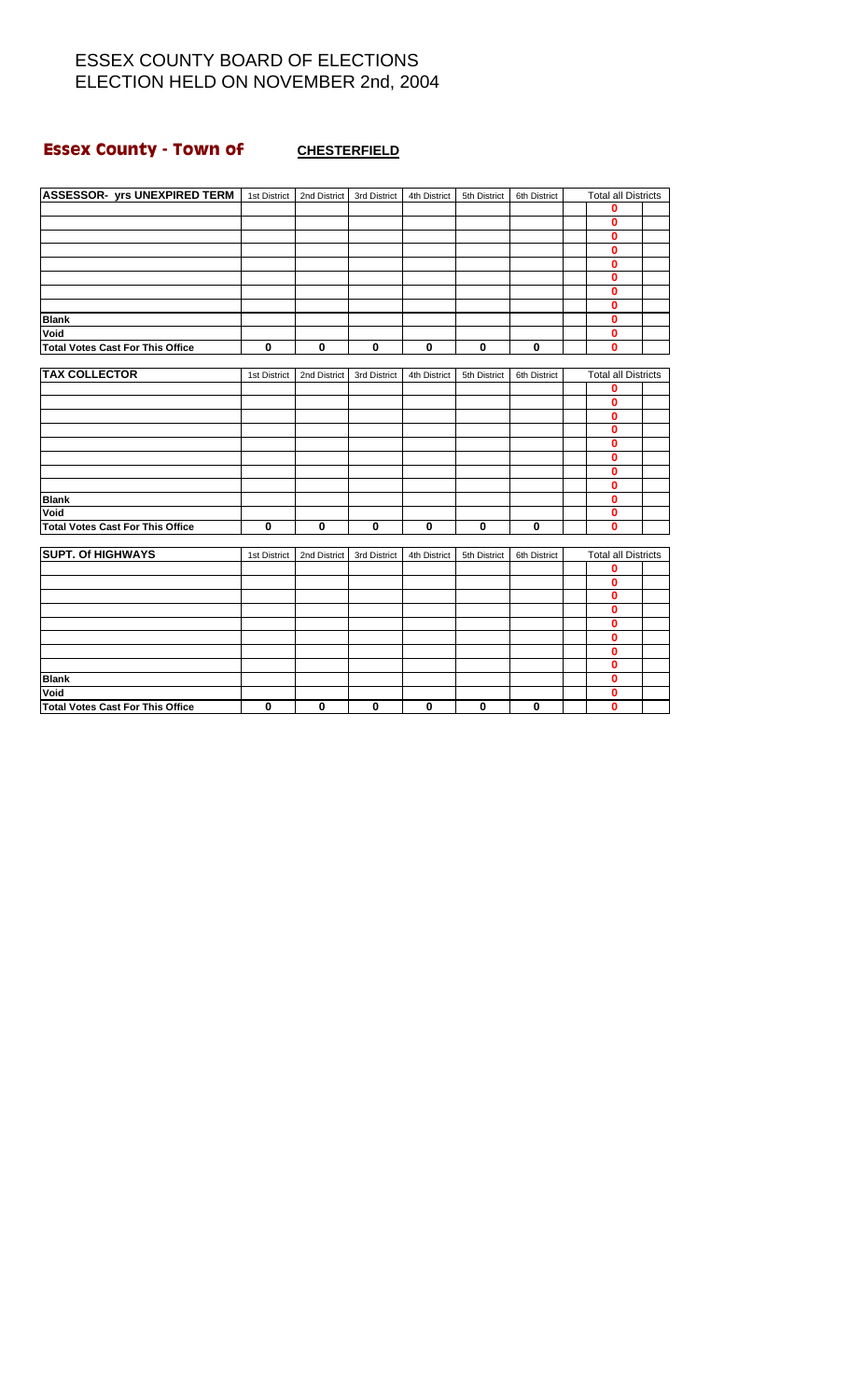# **Essex County - Town of CHESTERFIELD**

| <b>ASSESSOR- yrs UNEXPIRED TERM</b>   1st District  <br>0<br>0<br>$\mathbf{0}$<br>0<br>0<br>$\mathbf{0}$<br>0<br>0<br>0<br><b>Blank</b><br>Void<br>0<br><b>Total Votes Cast For This Office</b><br>$\mathbf 0$<br>$\bf{0}$<br>0<br>0<br>$\bf{0}$<br>$\bf{0}$<br>$\mathbf 0$<br><b>TAX COLLECTOR</b><br><b>Total all Districts</b><br>2nd District<br>3rd District<br>4th District<br>5th District<br>6th District<br>1st District<br>0<br>$\bf{0}$<br>$\bf{0}$<br>0<br>$\bf{0}$<br>0<br>0 |
|-------------------------------------------------------------------------------------------------------------------------------------------------------------------------------------------------------------------------------------------------------------------------------------------------------------------------------------------------------------------------------------------------------------------------------------------------------------------------------------------|
|                                                                                                                                                                                                                                                                                                                                                                                                                                                                                           |
|                                                                                                                                                                                                                                                                                                                                                                                                                                                                                           |
|                                                                                                                                                                                                                                                                                                                                                                                                                                                                                           |
|                                                                                                                                                                                                                                                                                                                                                                                                                                                                                           |
|                                                                                                                                                                                                                                                                                                                                                                                                                                                                                           |
|                                                                                                                                                                                                                                                                                                                                                                                                                                                                                           |
|                                                                                                                                                                                                                                                                                                                                                                                                                                                                                           |
|                                                                                                                                                                                                                                                                                                                                                                                                                                                                                           |
|                                                                                                                                                                                                                                                                                                                                                                                                                                                                                           |
|                                                                                                                                                                                                                                                                                                                                                                                                                                                                                           |
|                                                                                                                                                                                                                                                                                                                                                                                                                                                                                           |
|                                                                                                                                                                                                                                                                                                                                                                                                                                                                                           |
|                                                                                                                                                                                                                                                                                                                                                                                                                                                                                           |
|                                                                                                                                                                                                                                                                                                                                                                                                                                                                                           |
|                                                                                                                                                                                                                                                                                                                                                                                                                                                                                           |
|                                                                                                                                                                                                                                                                                                                                                                                                                                                                                           |
|                                                                                                                                                                                                                                                                                                                                                                                                                                                                                           |
|                                                                                                                                                                                                                                                                                                                                                                                                                                                                                           |
|                                                                                                                                                                                                                                                                                                                                                                                                                                                                                           |
|                                                                                                                                                                                                                                                                                                                                                                                                                                                                                           |
| 0                                                                                                                                                                                                                                                                                                                                                                                                                                                                                         |
| <b>Blank</b><br>0                                                                                                                                                                                                                                                                                                                                                                                                                                                                         |
| Void<br>0                                                                                                                                                                                                                                                                                                                                                                                                                                                                                 |
| <b>Total Votes Cast For This Office</b><br>$\mathbf 0$<br>$\mathbf 0$<br>$\mathbf 0$<br>$\mathbf 0$<br>$\mathbf 0$<br>0<br>0                                                                                                                                                                                                                                                                                                                                                              |
|                                                                                                                                                                                                                                                                                                                                                                                                                                                                                           |
| <b>SUPT. Of HIGHWAYS</b><br><b>Total all Districts</b><br>1st District<br>2nd District<br>3rd District<br>4th District<br>5th District<br>6th District                                                                                                                                                                                                                                                                                                                                    |
| 0                                                                                                                                                                                                                                                                                                                                                                                                                                                                                         |
| 0                                                                                                                                                                                                                                                                                                                                                                                                                                                                                         |
| 0                                                                                                                                                                                                                                                                                                                                                                                                                                                                                         |
| 0                                                                                                                                                                                                                                                                                                                                                                                                                                                                                         |
| 0                                                                                                                                                                                                                                                                                                                                                                                                                                                                                         |
| 0                                                                                                                                                                                                                                                                                                                                                                                                                                                                                         |
| $\mathbf 0$                                                                                                                                                                                                                                                                                                                                                                                                                                                                               |
| 0<br>$\mathbf 0$                                                                                                                                                                                                                                                                                                                                                                                                                                                                          |
| <b>Blank</b><br>Void<br>0                                                                                                                                                                                                                                                                                                                                                                                                                                                                 |
| $\bf{0}$<br>Total Votes Cast For This Office<br>$\bf{0}$<br>$\mathbf 0$<br>$\bf{0}$<br>$\bf{0}$<br>$\mathbf{0}$<br>$\mathbf 0$                                                                                                                                                                                                                                                                                                                                                            |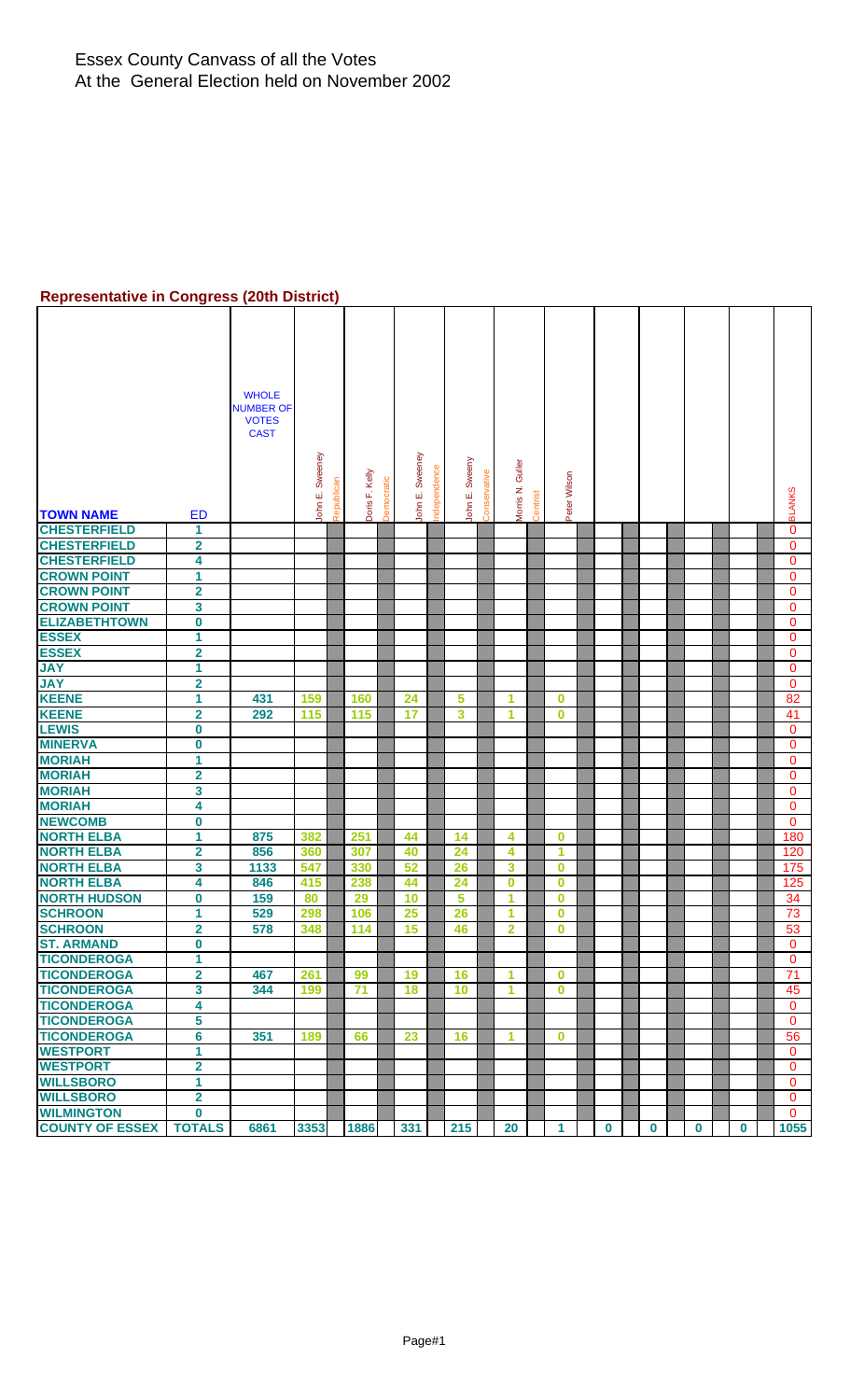#### **Representative in Congress (20th District)**

|                                        |                         | <b>WHOLE</b>                |                 |            |                |               |          |             |                |              |                         |          |                      |          |          |          |             |               |
|----------------------------------------|-------------------------|-----------------------------|-----------------|------------|----------------|---------------|----------|-------------|----------------|--------------|-------------------------|----------|----------------------|----------|----------|----------|-------------|---------------|
|                                        |                         | <b>NUMBER OF</b>            |                 |            |                |               |          |             |                |              |                         |          |                      |          |          |          |             |               |
|                                        |                         | <b>VOTES</b><br><b>CAST</b> |                 |            |                |               |          |             |                |              |                         |          |                      |          |          |          |             |               |
|                                        |                         |                             |                 |            |                |               |          |             |                |              |                         |          |                      |          |          |          |             |               |
|                                        |                         |                             |                 |            |                |               |          |             |                |              |                         |          |                      |          |          |          |             |               |
|                                        |                         |                             |                 |            |                | atic          | Sweeney  |             |                |              |                         |          |                      |          |          |          |             |               |
|                                        |                         |                             |                 |            |                |               | ші       |             |                |              |                         |          |                      |          |          |          |             |               |
| <b>TOWN NAME</b>                       | <b>ED</b>               |                             | John E. Sweeney | Republican | Doris F. Kelly | <b>Democr</b> | John     | ndependence | John E. Sweeny | Conservative | Morris N. Guller        | Centrist | Peter Wilson         |          |          |          |             | <b>BLANKS</b> |
| <b>CHESTERFIELD</b>                    | 1                       |                             |                 |            |                |               |          |             |                |              |                         |          |                      |          |          |          |             | $\mathbf 0$   |
| <b>CHESTERFIELD</b>                    | $\overline{\mathbf{2}}$ |                             |                 |            |                |               |          |             |                |              |                         |          |                      |          |          |          |             | 0             |
| <b>CHESTERFIELD</b>                    | 4                       |                             |                 |            |                |               |          |             |                |              |                         |          |                      |          |          |          |             | $\mathbf{0}$  |
| <b>CROWN POINT</b>                     | 1                       |                             |                 |            |                |               |          |             |                |              |                         |          |                      |          |          |          |             | $\mathbf{0}$  |
| <b>CROWN POINT</b>                     | $\overline{\mathbf{2}}$ |                             |                 |            |                |               |          |             |                |              |                         |          |                      |          |          |          |             | 0             |
| <b>CROWN POINT</b>                     | 3                       |                             |                 |            |                |               |          |             |                |              |                         |          |                      |          |          |          |             | $\mathbf 0$   |
| <b>ELIZABETHTOWN</b>                   | $\bf{0}$                |                             |                 |            |                |               |          |             |                |              |                         |          |                      |          |          |          |             | 0             |
| <b>ESSEX</b>                           | 1                       |                             |                 |            |                |               |          |             |                |              |                         |          |                      |          |          |          |             | $\mathbf{0}$  |
| <b>ESSEX</b>                           | $\overline{2}$          |                             |                 |            |                |               |          |             |                |              |                         |          |                      |          |          |          |             | $\mathbf 0$   |
| <b>JAY</b>                             | 1                       |                             |                 |            |                |               |          |             |                |              |                         |          |                      |          |          |          |             | $\mathbf{0}$  |
| <b>JAY</b>                             | $\mathbf{2}$            |                             |                 |            |                |               |          |             |                |              |                         |          |                      |          |          |          |             | 0             |
| <b>KEENE</b>                           | 1                       | 431                         | 159             |            | 160            |               | 24       |             | $\sqrt{5}$     |              | 1                       |          | $\bf{0}$             |          |          |          |             | 82            |
| <b>KEENE</b>                           | $\overline{\mathbf{2}}$ | 292                         | 115             |            | 115            |               | 17       |             | 3              |              | 1                       |          | $\bf{0}$             |          |          |          |             | 41            |
| <b>LEWIS</b>                           | $\bf{0}$                |                             |                 |            |                |               |          |             |                |              |                         |          |                      |          |          |          |             | 0             |
| <b>MINERVA</b>                         | $\bf{0}$                |                             |                 |            |                |               |          |             |                |              |                         |          |                      |          |          |          |             | $\mathbf 0$   |
| <b>MORIAH</b>                          | 1                       |                             |                 |            |                |               |          |             |                |              |                         |          |                      |          |          |          |             | $\mathbf{0}$  |
| <b>MORIAH</b>                          | $\mathbf{2}$            |                             |                 |            |                |               |          |             |                |              |                         |          |                      |          |          |          |             | $\mathbf{0}$  |
| <b>MORIAH</b>                          | 3                       |                             |                 |            |                |               |          |             |                |              |                         |          |                      |          |          |          |             | $\mathbf{0}$  |
| <b>MORIAH</b>                          | 4                       |                             |                 |            |                |               |          |             |                |              |                         |          |                      |          |          |          |             | $\mathbf 0$   |
| <b>NEWCOMB</b>                         | $\bf{0}$                |                             |                 |            |                |               |          |             |                |              |                         |          |                      |          |          |          |             | $\mathbf{0}$  |
| <b>NORTH ELBA</b>                      | 1                       | 875                         | 382             |            | 251            |               | 44       |             | 14             |              | 4                       |          | $\bf{0}$             |          |          |          |             | 180           |
| <b>NORTH ELBA</b>                      | $\overline{\mathbf{2}}$ | 856                         | 360             |            | 307            |               | 40       |             | 24             |              | 4                       |          | -1                   |          |          |          |             | 120           |
| <b>NORTH ELBA</b><br><b>NORTH ELBA</b> | 3                       | 1133                        | 547             |            | 330            |               | 52       |             | 26<br>24       |              | 3                       |          | $\bf{0}$             |          |          |          |             | 175           |
| <b>NORTH HUDSON</b>                    | 4<br>0                  | 846<br>159                  | 415<br>80       |            | 238<br>29      |               | 44<br>10 |             | 5              |              | $\bf{0}$<br>1           |          | $\bf{0}$<br>$\bf{0}$ |          |          |          |             | 125<br>34     |
| <b>SCHROON</b>                         | 1                       | 529                         | 298             |            | 106            |               | 25       |             | 26             |              | 1                       |          | $\bf{0}$             |          |          |          |             | 73            |
| <b>SCHROON</b>                         | $\overline{\mathbf{2}}$ | 578                         | 348             |            | 114            |               | 15       |             | 46             |              | $\overline{\mathbf{2}}$ |          | $\bf{0}$             |          |          |          |             | 53            |
| <b>ST. ARMAND</b>                      | $\bf{0}$                |                             |                 |            |                |               |          |             |                |              |                         |          |                      |          |          |          |             | $\Omega$      |
| <b>TICONDEROGA</b>                     | 1                       |                             |                 |            |                |               |          |             |                |              |                         |          |                      |          |          |          |             | $\mathbf{0}$  |
| <b>TICONDEROGA</b>                     | $\overline{\mathbf{2}}$ | 467                         | 261             |            | 99             |               | 19       |             | 16             |              | 1                       |          | $\bf{0}$             |          |          |          |             | 71            |
| <b>TICONDEROGA</b>                     | 3                       | 344                         | 199             |            | 71             |               | 18       |             | 10             |              | 1                       |          | $\bf{0}$             |          |          |          |             | 45            |
| <b>TICONDEROGA</b>                     | 4                       |                             |                 |            |                |               |          |             |                |              |                         |          |                      |          |          |          |             | $\mathbf 0$   |
| <b>TICONDEROGA</b>                     | 5                       |                             |                 |            |                |               |          |             |                |              |                         |          |                      |          |          |          |             | $\mathbf{0}$  |
| <b>TICONDEROGA</b>                     | $6\phantom{a}$          | 351                         | 189             |            | 66             |               | 23       |             | 16             |              | 1                       |          | $\bf{0}$             |          |          |          |             | 56            |
| <b>WESTPORT</b>                        | 1                       |                             |                 |            |                |               |          |             |                |              |                         |          |                      |          |          |          |             | $\mathbf{0}$  |
| <b>WESTPORT</b>                        | $\overline{\mathbf{2}}$ |                             |                 |            |                |               |          |             |                |              |                         |          |                      |          |          |          |             | $\mathbf{0}$  |
| <b>WILLSBORO</b>                       | $\overline{1}$          |                             |                 |            |                |               |          |             |                |              |                         |          |                      |          |          |          |             | $\mathbf 0$   |
| <b>WILLSBORO</b>                       | $\overline{\mathbf{2}}$ |                             |                 |            |                |               |          |             |                |              |                         |          |                      |          |          |          |             | $\mathbf{0}$  |
| <b>WILMINGTON</b>                      | $\bf{0}$                |                             |                 |            |                |               |          |             |                |              |                         |          |                      |          |          |          |             | $\Omega$      |
| <b>COUNTY OF ESSEX</b>                 | <b>TOTALS</b>           | 6861                        | 3353            |            | 1886           |               | 331      |             | 215            |              | <b>20</b>               |          | 1                    | $\bf{0}$ | $\bf{0}$ | $\bf{0}$ | $\mathbf 0$ | 1055          |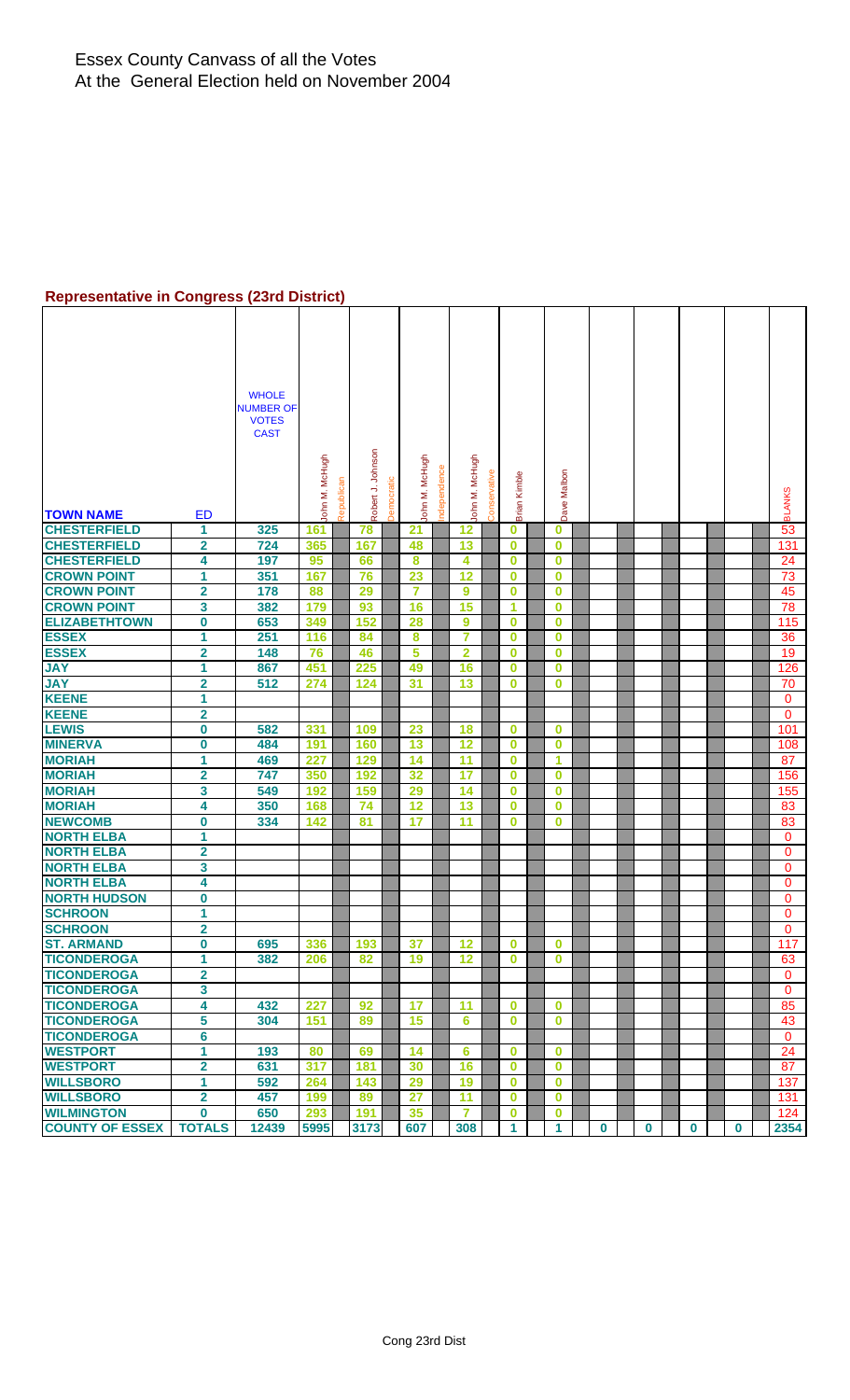#### **Representative in Congress (23rd District)**

| <b>TOWN NAME</b>                 | ED                      | <b>WHOLE</b><br><b>NUMBER OF</b><br><b>VOTES</b><br><b>CAST</b> | John M. McHugh | Republicar | Robert J. Johnson | mocratic | John M. McHugh | ndependence | John M. McHugh          | ervativ<br>ෆි | Brian Kimble            | Dave Malbon |          |   |          |             | <b>BLANKS</b>  |
|----------------------------------|-------------------------|-----------------------------------------------------------------|----------------|------------|-------------------|----------|----------------|-------------|-------------------------|---------------|-------------------------|-------------|----------|---|----------|-------------|----------------|
| <b>CHESTERFIELD</b>              | 1                       | 325                                                             | 161            |            | 78                |          | 21             |             | 12                      |               | 0                       | $\bf{0}$    |          |   |          |             | 53             |
| <b>CHESTERFIELD</b>              | $\overline{\mathbf{2}}$ | 724                                                             | 365            |            | 167               |          | 48             |             | 13                      |               | $\overline{\mathbf{0}}$ | $\bf{0}$    |          |   |          |             | 131            |
| <b>CHESTERFIELD</b>              | 4                       | 197                                                             | 95             |            | 66                |          | 8              |             | $\overline{\mathbf{4}}$ |               | $\bf{0}$                | $\mathbf 0$ |          |   |          |             | 24             |
| <b>CROWN POINT</b>               | 1                       | 351                                                             | 167            |            | 76                |          | 23             |             | 12                      |               | 0                       | $\bf{0}$    |          |   |          |             | 73             |
| <b>CROWN POINT</b>               | $\overline{\mathbf{2}}$ | 178                                                             | 88             |            | 29                |          | $\overline{7}$ |             | $\boldsymbol{9}$        |               | 0                       | $\bf{0}$    |          |   |          |             | 45             |
| <b>CROWN POINT</b>               | $\mathbf{3}$            | 382                                                             | 179            |            | 93                |          | 16             |             | 15                      |               | 1                       | $\bf{0}$    |          |   |          |             | 78             |
| <b>ELIZABETHTOWN</b>             | $\bf{0}$                | 653                                                             | 349            |            | 152               |          | 28             |             | 9                       |               | $\bf{0}$                | $\bf{0}$    |          |   |          |             | 115            |
| <b>ESSEX</b>                     | 1                       | 251                                                             | 116            |            | 84                |          | 8              |             | $\overline{7}$          |               | 0                       | $\bf{0}$    |          |   |          |             | 36             |
| <b>ESSEX</b>                     | $\overline{\mathbf{2}}$ | 148                                                             | 76             |            | 46                |          | 5              |             | $\overline{\mathbf{2}}$ |               | $\mathbf 0$             | $\bf{0}$    |          |   |          |             | 19             |
| <b>JAY</b>                       | 1                       | 867                                                             | 451            |            | 225               |          | 49             |             | 16                      |               | $\mathbf 0$             | $\bf{0}$    |          |   |          |             | 126            |
| <b>JAY</b>                       | $\overline{2}$          | 512                                                             | 274            |            | 124               |          | 31             |             | 13                      |               | $\bf{0}$                | $\bf{0}$    |          |   |          |             | 70             |
| <b>KEENE</b>                     | 1                       |                                                                 |                |            |                   |          |                |             |                         |               |                         |             |          |   |          |             | 0              |
| <b>KEENE</b>                     | $\overline{\mathbf{2}}$ |                                                                 |                |            |                   |          |                |             |                         |               |                         |             |          |   |          |             | $\mathbf{0}$   |
| <b>LEWIS</b>                     | $\bf{0}$                | 582                                                             | 331            |            | 109               |          | 23             |             | 18                      |               | 0                       | $\bf{0}$    |          |   |          |             | 101            |
| <b>MINERVA</b>                   | 0                       | 484                                                             | 191            |            | 160               |          | 13             |             | 12                      |               | $\mathbf 0$             | $\bf{0}$    |          |   |          |             | 108            |
| <b>MORIAH</b>                    | 1                       | 469                                                             | 227            |            | 129               |          | 14             |             | 11                      |               | 0                       | 1           |          |   |          |             | 87             |
| <b>MORIAH</b>                    | $\overline{2}$          | 747                                                             | 350            |            | 192               |          | 32             |             | 17                      |               | $\mathbf 0$             | $\mathbf 0$ |          |   |          |             | 156            |
| <b>MORIAH</b>                    | 3                       | 549                                                             | 192            |            | 159               |          | 29             |             | 14                      |               | $\mathbf 0$             | $\bf{0}$    |          |   |          |             | 155            |
| <b>MORIAH</b>                    | 4                       | 350                                                             | 168            |            | 74                |          | 12             |             | 13                      |               | 0                       | $\bf{0}$    |          |   |          |             | 83             |
| <b>NEWCOMB</b>                   | $\bf{0}$                | 334                                                             | 142            |            | 81                |          | 17             |             | 11                      |               | $\bf{0}$                | $\bf{0}$    |          |   |          |             | 83             |
| <b>NORTH ELBA</b>                | 1                       |                                                                 |                |            |                   |          |                |             |                         |               |                         |             |          |   |          |             | $\mathbf{0}$   |
| <b>NORTH ELBA</b>                | $\overline{\mathbf{2}}$ |                                                                 |                |            |                   |          |                |             |                         |               |                         |             |          |   |          |             | 0              |
| <b>NORTH ELBA</b>                | 3                       |                                                                 |                |            |                   |          |                |             |                         |               |                         |             |          |   |          |             | $\mathbf 0$    |
| <b>NORTH ELBA</b>                | 4                       |                                                                 |                |            |                   |          |                |             |                         |               |                         |             |          |   |          |             | $\mathbf{0}$   |
| <b>NORTH HUDSON</b>              | $\bf{0}$                |                                                                 |                |            |                   |          |                |             |                         |               |                         |             |          |   |          |             | 0              |
| <b>SCHROON</b><br><b>SCHROON</b> | 1                       |                                                                 |                |            |                   |          |                |             |                         |               |                         |             |          |   |          |             | $\Omega$       |
| <b>ST. ARMAND</b>                | 2<br>$\bf{0}$           | 695                                                             | 336            |            | 193               |          | 37             |             | 12                      |               | $\mathbf 0$             | $\bf{0}$    |          |   |          |             | 0<br>117       |
| <b>TICONDEROGA</b>               | 1                       | 382                                                             | 206            |            | 82                |          | 19             |             | 12                      |               | $\mathbf 0$             | $\bf{0}$    |          |   |          |             | 63             |
| <b>TICONDEROGA</b>               | $\overline{\mathbf{2}}$ |                                                                 |                |            |                   |          |                |             |                         |               |                         |             |          |   |          |             | $\mathbf{0}$   |
| <b>TICONDEROGA</b>               | 3                       |                                                                 |                |            |                   |          |                |             |                         |               |                         |             |          |   |          |             | $\overline{0}$ |
| <b>TICONDEROGA</b>               | 4                       | 432                                                             | 227            |            | 92                |          | 17             |             | 11                      |               | 0                       | $\bf{0}$    |          |   |          |             | 85             |
| <b>TICONDEROGA</b>               | 5                       | 304                                                             | 151            |            | 89                |          | 15             |             | 6                       |               | 0                       | $\bf{0}$    |          |   |          |             | 43             |
| <b>TICONDEROGA</b>               | 6                       |                                                                 |                |            |                   |          |                |             |                         |               |                         |             |          |   |          |             | $\mathbf{0}$   |
| <b>WESTPORT</b>                  | 1                       | 193                                                             | 80             |            | 69                |          | 14             |             | 6                       |               | $\mathbf 0$             | $\bf{0}$    |          |   |          |             | 24             |
| <b>WESTPORT</b>                  | $\overline{\mathbf{2}}$ | 631                                                             | 317            |            | 181               |          | 30             |             | 16                      |               | $\mathbf{0}$            | $\mathbf 0$ |          |   |          |             | 87             |
| <b>WILLSBORO</b>                 | 1                       | 592                                                             | 264            |            | 143               |          | 29             |             | 19                      |               | $\bf{0}$                | $\bf{0}$    |          |   |          |             | 137            |
| <b>WILLSBORO</b>                 | $\mathbf{2}$            | 457                                                             | 199            |            | 89                |          | 27             |             | 11                      |               | $\bf{0}$                | $\bf{0}$    |          |   |          |             | 131            |
| <b>WILMINGTON</b>                | $\mathbf 0$             | 650                                                             | 293            |            | 191               |          | 35             |             | $\overline{7}$          |               | 0                       | $\bf{0}$    |          |   |          |             | 124            |
| <b>COUNTY OF ESSEX</b>           | <b>TOTALS</b>           | 12439                                                           | 5995           |            | 3173              |          | 607            |             | 308                     |               | 1                       | 1           | $\bf{0}$ | 0 | $\bf{0}$ | $\mathbf 0$ | 2354           |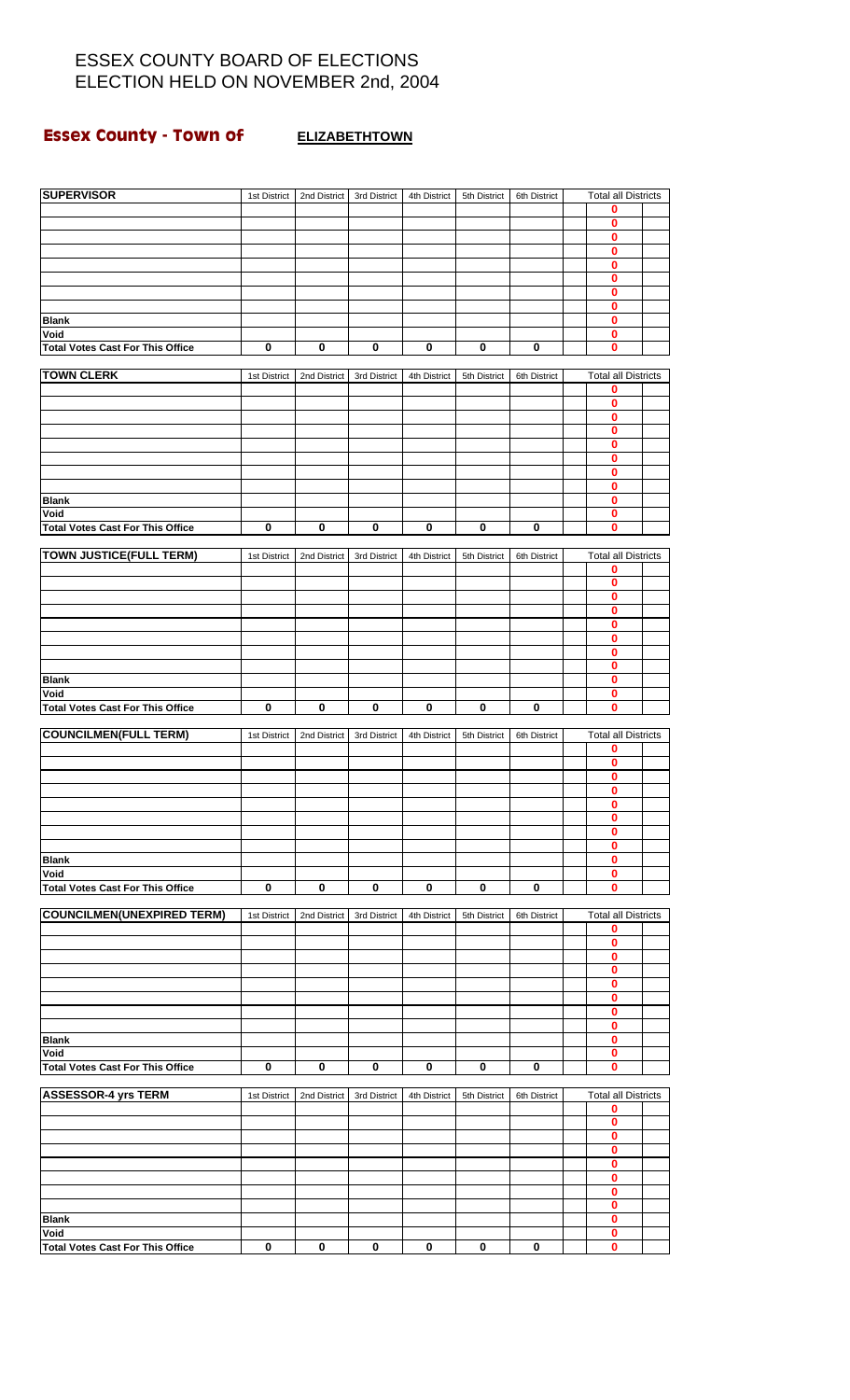## **Essex County - Town of ELIZABETHTOWN**

| <b>SUPERVISOR</b>                               | 1st District | 2nd District | 3rd District | 4th District | 5th District | 6th District | <b>Total all Districts</b>      |  |
|-------------------------------------------------|--------------|--------------|--------------|--------------|--------------|--------------|---------------------------------|--|
|                                                 |              |              |              |              |              |              | 0                               |  |
|                                                 |              |              |              |              |              |              | 0                               |  |
|                                                 |              |              |              |              |              |              | 0<br>0                          |  |
|                                                 |              |              |              |              |              |              | 0                               |  |
|                                                 |              |              |              |              |              |              | 0                               |  |
|                                                 |              |              |              |              |              |              | $\mathbf 0$                     |  |
| <b>Blank</b>                                    |              |              |              |              |              |              | 0<br>0                          |  |
| Void                                            |              |              |              |              |              |              | 0                               |  |
| <b>Total Votes Cast For This Office</b>         | 0            | 0            | 0            | 0            | 0            | 0            | 0                               |  |
| <b>TOWN CLERK</b>                               | 1st District | 2nd District | 3rd District | 4th District | 5th District | 6th District | <b>Total all Districts</b>      |  |
|                                                 |              |              |              |              |              |              | 0                               |  |
|                                                 |              |              |              |              |              |              | 0                               |  |
|                                                 |              |              |              |              |              |              | 0                               |  |
|                                                 |              |              |              |              |              |              | 0<br>0                          |  |
|                                                 |              |              |              |              |              |              | 0                               |  |
|                                                 |              |              |              |              |              |              | 0                               |  |
| <b>Blank</b>                                    |              |              |              |              |              |              | 0<br>0                          |  |
| Void                                            |              |              |              |              |              |              | 0                               |  |
| <b>Total Votes Cast For This Office</b>         | $\pmb{0}$    | $\bf{0}$     | 0            | 0            | 0            | 0            | 0                               |  |
|                                                 |              |              |              |              |              |              |                                 |  |
| <b>TOWN JUSTICE(FULL TERM)</b>                  | 1st District | 2nd District | 3rd District | 4th District | 5th District | 6th District | <b>Total all Districts</b><br>0 |  |
|                                                 |              |              |              |              |              |              | 0                               |  |
|                                                 |              |              |              |              |              |              | 0                               |  |
|                                                 |              |              |              |              |              |              | 0<br>0                          |  |
|                                                 |              |              |              |              |              |              | 0                               |  |
|                                                 |              |              |              |              |              |              | 0                               |  |
|                                                 |              |              |              |              |              |              | 0                               |  |
| <b>Blank</b><br>Void                            |              |              |              |              |              |              | 0<br>0                          |  |
| <b>Total Votes Cast For This Office</b>         | $\bf{0}$     | $\bf{0}$     | $\pmb{0}$    | $\bf{0}$     | 0            | 0            | $\bf{0}$                        |  |
|                                                 |              |              |              |              |              |              |                                 |  |
| <b>COUNCILMEN(FULL TERM)</b>                    | 1st District | 2nd District | 3rd District | 4th District | 5th District | 6th District | <b>Total all Districts</b>      |  |
|                                                 |              |              |              |              |              |              | 0<br>0                          |  |
|                                                 |              |              |              |              |              |              | 0                               |  |
|                                                 |              |              |              |              |              |              | 0                               |  |
|                                                 |              |              |              |              |              |              | v<br>$\mathbf 0$                |  |
|                                                 |              |              |              |              |              |              | 0                               |  |
|                                                 |              |              |              |              |              |              | 0                               |  |
| <b>Blank</b>                                    |              |              |              |              |              |              | 0                               |  |
| Void<br><b>Total Votes Cast For This Office</b> | $\bf{0}$     | $\bf{0}$     | 0            | 0            | 0            | 0            | 0<br>0                          |  |
|                                                 |              |              |              |              |              |              |                                 |  |
| <b>COUNCILMEN(UNEXPIRED TERM)</b>               | 1st District | 2nd District | 3rd District | 4th District | 5th District | 6th District | <b>Total all Districts</b>      |  |
|                                                 |              |              |              |              |              |              | 0                               |  |
|                                                 |              |              |              |              |              |              | $\bf{0}$<br>0                   |  |
|                                                 |              |              |              |              |              |              | 0                               |  |
|                                                 |              |              |              |              |              |              | 0                               |  |
|                                                 |              |              |              |              |              |              | 0<br>$\bf{0}$                   |  |
|                                                 |              |              |              |              |              |              | 0                               |  |
| <b>Blank</b>                                    |              |              |              |              |              |              | 0                               |  |
| Void                                            |              |              |              |              |              |              | $\bf{0}$                        |  |
| <b>Total Votes Cast For This Office</b>         | $\pmb{0}$    | $\bf{0}$     | $\bf{0}$     | $\mathbf 0$  | $\bf{0}$     | $\bf{0}$     | 0                               |  |
| <b>ASSESSOR-4 yrs TERM</b>                      | 1st District | 2nd District | 3rd District | 4th District | 5th District | 6th District | <b>Total all Districts</b>      |  |
|                                                 |              |              |              |              |              |              | 0                               |  |
|                                                 |              |              |              |              |              |              | 0<br>0                          |  |
|                                                 |              |              |              |              |              |              | 0                               |  |
|                                                 |              |              |              |              |              |              | $\bf{0}$                        |  |
|                                                 |              |              |              |              |              |              | 0                               |  |
|                                                 |              |              |              |              |              |              | 0<br>0                          |  |
| <b>Blank</b>                                    |              |              |              |              |              |              | 0                               |  |
| Void                                            |              |              |              |              |              |              | 0                               |  |
| <b>Total Votes Cast For This Office</b>         | 0            | 0            | 0            | $\pmb{0}$    | $\pmb{0}$    | 0            | 0                               |  |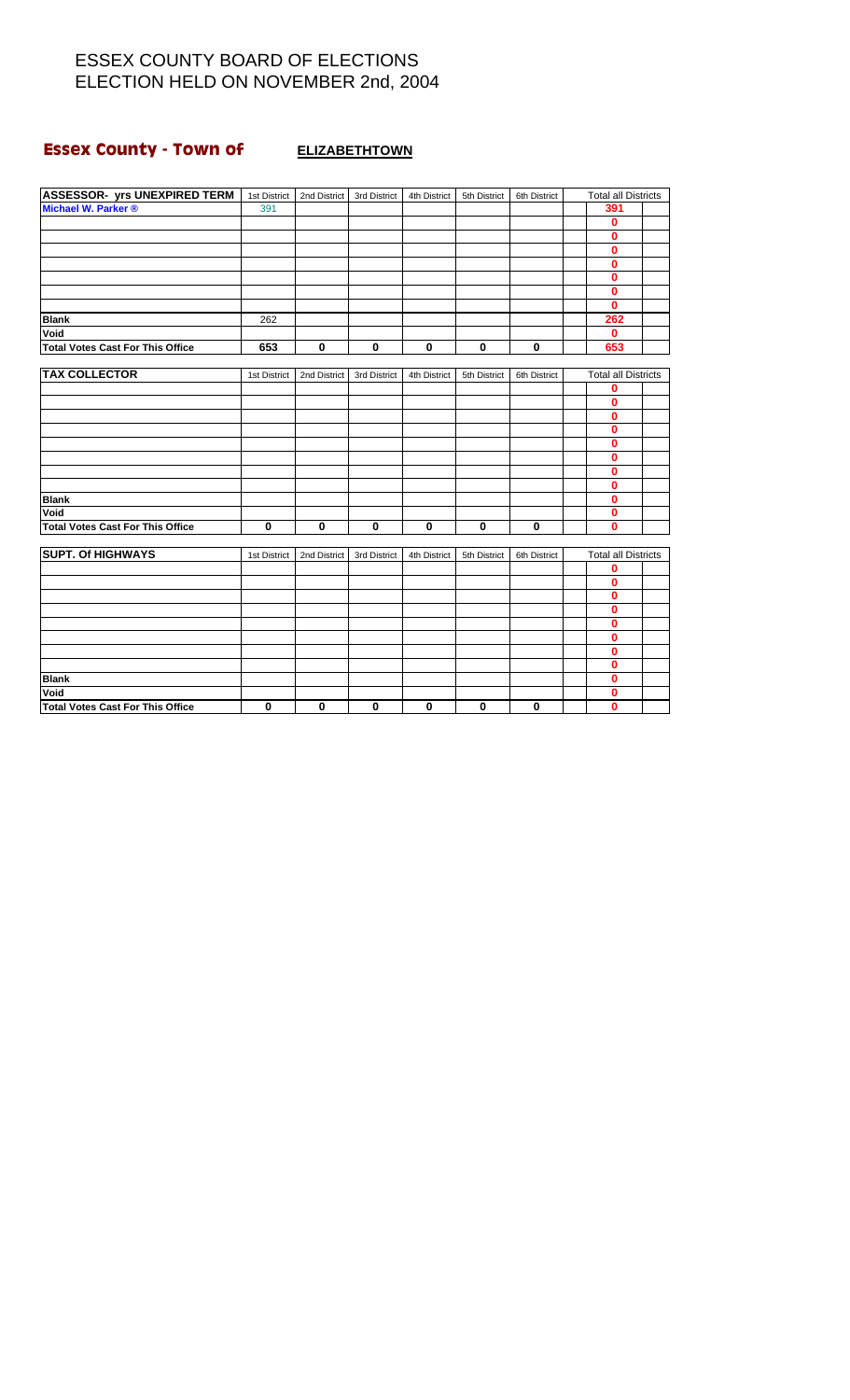# **Essex County - Town of ELIZABETHTOWN**

| <b>ASSESSOR- yrs UNEXPIRED TERM</b>     | 1st District | 2nd District | 3rd District | 4th District | 5th District | 6th District | <b>Total all Districts</b> |  |
|-----------------------------------------|--------------|--------------|--------------|--------------|--------------|--------------|----------------------------|--|
| Michael W. Parker ®                     | 391          |              |              |              |              |              | 391                        |  |
|                                         |              |              |              |              |              |              | 0                          |  |
|                                         |              |              |              |              |              |              | 0                          |  |
|                                         |              |              |              |              |              |              | $\mathbf{0}$               |  |
|                                         |              |              |              |              |              |              | 0                          |  |
|                                         |              |              |              |              |              |              | 0                          |  |
|                                         |              |              |              |              |              |              | 0                          |  |
|                                         |              |              |              |              |              |              | 0                          |  |
| <b>Blank</b>                            | 262          |              |              |              |              |              | 262                        |  |
| Void                                    |              |              |              |              |              |              | $\mathbf{0}$               |  |
| <b>Total Votes Cast For This Office</b> | 653          | $\mathbf 0$  | $\mathbf 0$  | $\bf{0}$     | $\bf{0}$     | $\bf{0}$     | 653                        |  |
|                                         |              |              |              |              |              |              |                            |  |
| <b>TAX COLLECTOR</b>                    | 1st District | 2nd District | 3rd District | 4th District | 5th District | 6th District | <b>Total all Districts</b> |  |
|                                         |              |              |              |              |              |              | 0                          |  |
|                                         |              |              |              |              |              |              | 0                          |  |
|                                         |              |              |              |              |              |              | O                          |  |
|                                         |              |              |              |              |              |              | $\bf{0}$                   |  |
|                                         |              |              |              |              |              |              | $\bf{0}$                   |  |
|                                         |              |              |              |              |              |              | 0                          |  |
|                                         |              |              |              |              |              |              | 0                          |  |
|                                         |              |              |              |              |              |              | 0                          |  |
| <b>Blank</b>                            |              |              |              |              |              |              | 0                          |  |
| Void                                    |              |              |              |              |              |              | 0                          |  |
| <b>Total Votes Cast For This Office</b> | $\bf{0}$     | $\mathbf{0}$ | $\mathbf 0$  | $\mathbf 0$  | $\bf{0}$     | 0            | 0                          |  |
|                                         |              |              |              |              |              |              |                            |  |
| <b>SUPT. Of HIGHWAYS</b>                | 1st District | 2nd District | 3rd District | 4th District | 5th District | 6th District | <b>Total all Districts</b> |  |
|                                         |              |              |              |              |              |              | 0                          |  |
|                                         |              |              |              |              |              |              | 0                          |  |
|                                         |              |              |              |              |              |              | 0                          |  |
|                                         |              |              |              |              |              |              | 0                          |  |
|                                         |              |              |              |              |              |              | $\mathbf{0}$               |  |
|                                         |              |              |              |              |              |              | 0                          |  |
|                                         |              |              |              |              |              |              | 0                          |  |
|                                         |              |              |              |              |              |              | 0                          |  |
| <b>Blank</b>                            |              |              |              |              |              |              | 0                          |  |
| Void                                    |              |              |              |              |              |              | 0                          |  |
| Total Votes Cast For This Office        | $\bf{0}$     | $\mathbf 0$  | $\bf{0}$     | $\bf{0}$     | $\mathbf 0$  | $\mathbf 0$  | $\bf{0}$                   |  |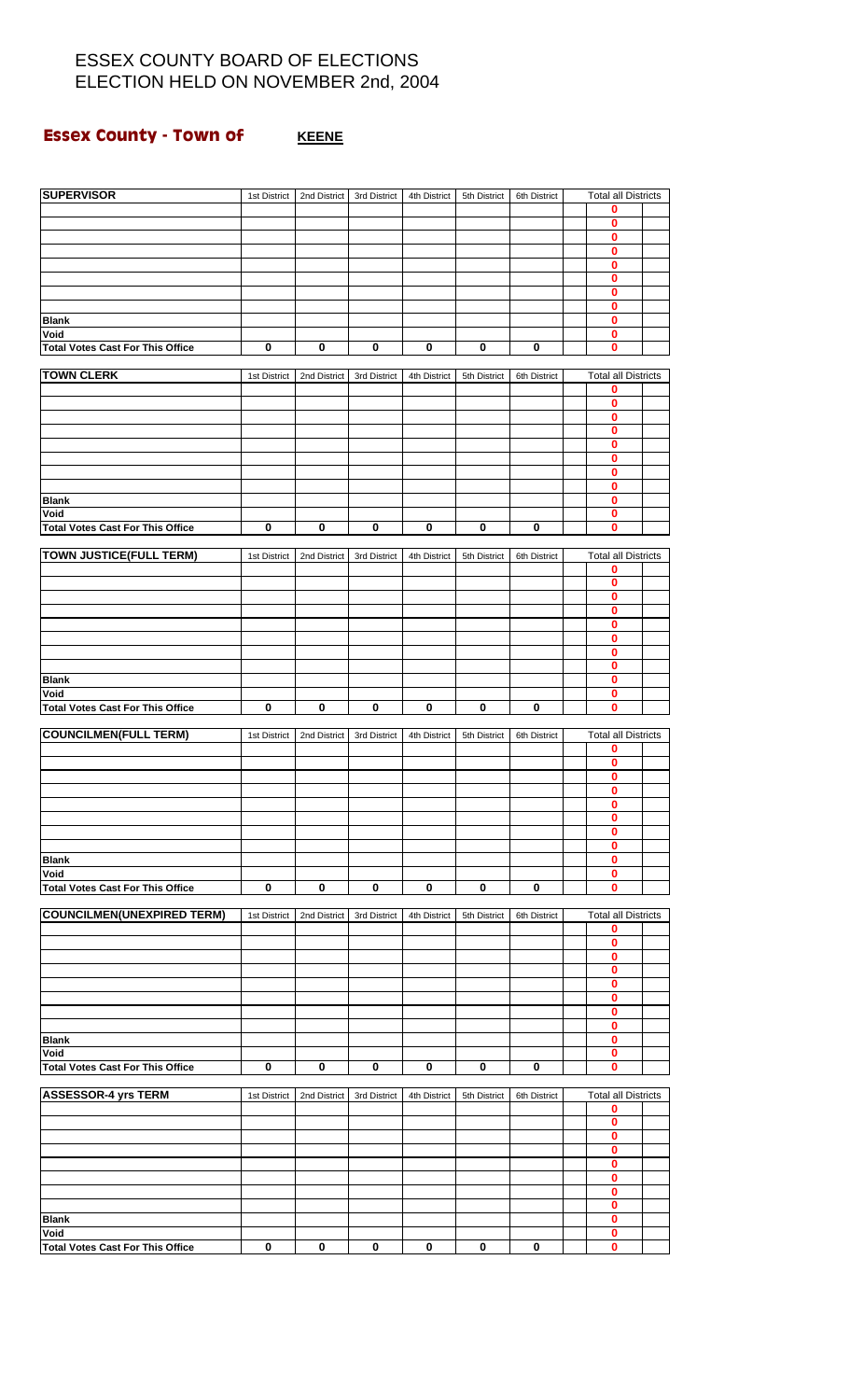## **Essex County - Town of <b>KEENE**

| <b>SUPERVISOR</b>                               | 1st District | 2nd District | 3rd District | 4th District | 5th District | 6th District | <b>Total all Districts</b>      |  |
|-------------------------------------------------|--------------|--------------|--------------|--------------|--------------|--------------|---------------------------------|--|
|                                                 |              |              |              |              |              |              | 0                               |  |
|                                                 |              |              |              |              |              |              | 0<br>0                          |  |
|                                                 |              |              |              |              |              |              | 0                               |  |
|                                                 |              |              |              |              |              |              | 0<br>$\mathbf{0}$               |  |
|                                                 |              |              |              |              |              |              | 0                               |  |
|                                                 |              |              |              |              |              |              | 0                               |  |
| <b>Blank</b><br>Void                            |              |              |              |              |              |              | $\bf{0}$<br>0                   |  |
| <b>Total Votes Cast For This Office</b>         | 0            | 0            | $\pmb{0}$    | $\pmb{0}$    | 0            | 0            | 0                               |  |
| <b>TOWN CLERK</b>                               | 1st District | 2nd District | 3rd District | 4th District | 5th District | 6th District | <b>Total all Districts</b>      |  |
|                                                 |              |              |              |              |              |              | 0                               |  |
|                                                 |              |              |              |              |              |              | 0                               |  |
|                                                 |              |              |              |              |              |              | 0<br>0                          |  |
|                                                 |              |              |              |              |              |              | 0                               |  |
|                                                 |              |              |              |              |              |              | 0<br>0                          |  |
|                                                 |              |              |              |              |              |              | 0                               |  |
| <b>Blank</b>                                    |              |              |              |              |              |              | 0                               |  |
| Void<br><b>Total Votes Cast For This Office</b> | $\pmb{0}$    | $\mathbf 0$  | $\bf{0}$     | $\pmb{0}$    | $\bf{0}$     | $\pmb{0}$    | 0<br>$\mathbf{0}$               |  |
|                                                 |              |              |              |              |              |              |                                 |  |
| <b>TOWN JUSTICE(FULL TERM)</b>                  | 1st District | 2nd District | 3rd District | 4th District | 5th District | 6th District | <b>Total all Districts</b><br>0 |  |
|                                                 |              |              |              |              |              |              | 0                               |  |
|                                                 |              |              |              |              |              |              | 0                               |  |
|                                                 |              |              |              |              |              |              | 0<br>0                          |  |
|                                                 |              |              |              |              |              |              | 0                               |  |
|                                                 |              |              |              |              |              |              | 0<br>0                          |  |
| <b>Blank</b>                                    |              |              |              |              |              |              | $\bf{0}$                        |  |
| Void                                            |              |              |              |              |              |              | 0                               |  |
| <b>Total Votes Cast For This Office</b>         | 0            | $\bf{0}$     | $\pmb{0}$    | $\pmb{0}$    | 0            | 0            | 0                               |  |
| <b>COUNCILMEN(FULL TERM)</b>                    | 1st District | 2nd District | 3rd District | 4th District | 5th District | 6th District | <b>Total all Districts</b>      |  |
|                                                 |              |              |              |              |              |              | 0<br>0                          |  |
|                                                 |              |              |              |              |              |              | 0                               |  |
|                                                 |              |              |              |              |              |              | 0                               |  |
|                                                 |              |              |              |              |              |              | 0<br>0                          |  |
|                                                 |              |              |              |              |              |              | 0                               |  |
| <b>Blank</b>                                    |              |              |              |              |              |              | 0<br>0                          |  |
| Void                                            |              |              |              |              |              |              | 0                               |  |
| <b>Total Votes Cast For This Office</b>         | 0            | 0            | 0            | 0            | 0            | 0            | 0                               |  |
| <b>COUNCILMEN(UNEXPIRED TERM)</b>               | 1st District | 2nd District | 3rd District | 4th District | 5th District | 6th District | <b>Total all Districts</b>      |  |
|                                                 |              |              |              |              |              |              | 0                               |  |
|                                                 |              |              |              |              |              |              | 0<br>0                          |  |
|                                                 |              |              |              |              |              |              | 0                               |  |
|                                                 |              |              |              |              |              |              | 0<br>0                          |  |
|                                                 |              |              |              |              |              |              | $\bf{0}$                        |  |
|                                                 |              |              |              |              |              |              | 0                               |  |
| <b>Blank</b><br>Void                            |              |              |              |              |              |              | 0<br>0                          |  |
| <b>Total Votes Cast For This Office</b>         | $\bf{0}$     | $\bf{0}$     | $\mathbf 0$  | $\bf{0}$     | $\bf{0}$     | $\bf{0}$     | 0                               |  |
| <b>ASSESSOR-4 yrs TERM</b>                      | 1st District | 2nd District | 3rd District | 4th District | 5th District | 6th District | <b>Total all Districts</b>      |  |
|                                                 |              |              |              |              |              |              | 0                               |  |
|                                                 |              |              |              |              |              |              | 0                               |  |
|                                                 |              |              |              |              |              |              | 0<br>0                          |  |
|                                                 |              |              |              |              |              |              | 0                               |  |
|                                                 |              |              |              |              |              |              | 0<br>0                          |  |
|                                                 |              |              |              |              |              |              | 0                               |  |
| <b>Blank</b>                                    |              |              |              |              |              |              | 0                               |  |
| Void<br><b>Total Votes Cast For This Office</b> | 0            | 0            | 0            | 0            | 0            | 0            | 0<br>0                          |  |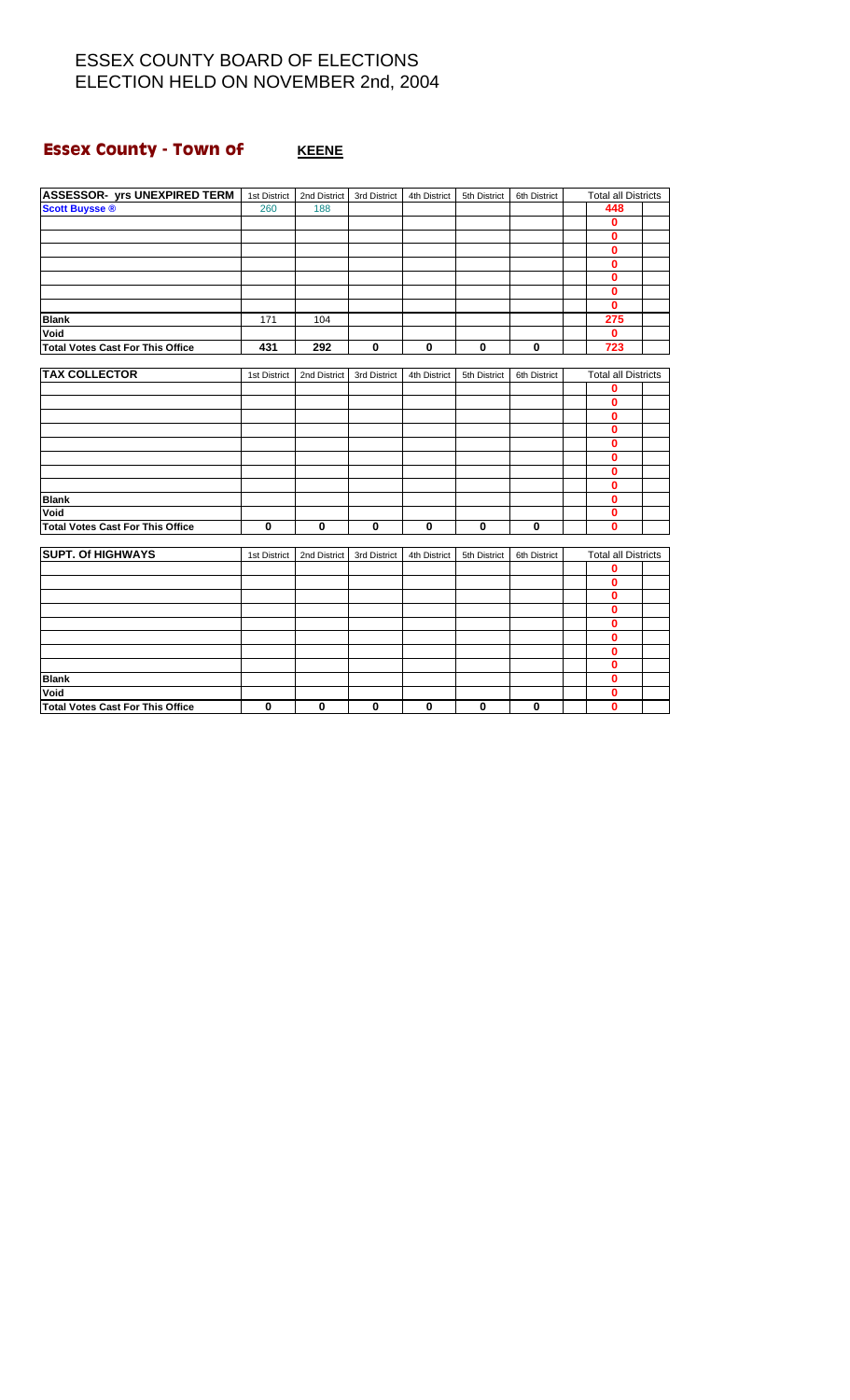## **Essex County - Town of #PHILE REENE**

| <b>ASSESSOR- yrs UNEXPIRED TERM</b>     | 1st District | 2nd District | 3rd District | 4th District | 5th District | 6th District | <b>Total all Districts</b> |  |
|-----------------------------------------|--------------|--------------|--------------|--------------|--------------|--------------|----------------------------|--|
| <b>Scott Buysse ®</b>                   | 260          | 188          |              |              |              |              | 448                        |  |
|                                         |              |              |              |              |              |              | 0                          |  |
|                                         |              |              |              |              |              |              | $\mathbf{0}$               |  |
|                                         |              |              |              |              |              |              | $\mathbf{0}$               |  |
|                                         |              |              |              |              |              |              | $\mathbf{0}$               |  |
|                                         |              |              |              |              |              |              | $\mathbf{0}$               |  |
|                                         |              |              |              |              |              |              | 0                          |  |
|                                         |              |              |              |              |              |              | $\mathbf{0}$               |  |
| <b>Blank</b>                            | 171          | 104          |              |              |              |              | 275                        |  |
| Void                                    |              |              |              |              |              |              | $\mathbf{0}$               |  |
| <b>Total Votes Cast For This Office</b> | 431          | 292          | $\mathbf 0$  | $\mathbf 0$  | $\bf{0}$     | 0            | 723                        |  |
|                                         |              |              |              |              |              |              |                            |  |
| <b>TAX COLLECTOR</b>                    | 1st District | 2nd District | 3rd District | 4th District | 5th District | 6th District | <b>Total all Districts</b> |  |
|                                         |              |              |              |              |              |              | 0                          |  |
|                                         |              |              |              |              |              |              | Ō                          |  |
|                                         |              |              |              |              |              |              | 0                          |  |
|                                         |              |              |              |              |              |              | 0                          |  |
|                                         |              |              |              |              |              |              | 0                          |  |
|                                         |              |              |              |              |              |              | 0                          |  |
|                                         |              |              |              |              |              |              | 0                          |  |
|                                         |              |              |              |              |              |              | 0                          |  |
| <b>Blank</b>                            |              |              |              |              |              |              | 0                          |  |
| Void                                    |              |              |              |              |              |              | 0                          |  |
| <b>Total Votes Cast For This Office</b> | 0            | $\mathbf 0$  | $\mathbf 0$  | $\bf{0}$     | $\mathbf 0$  | 0            | 0                          |  |
|                                         |              |              |              |              |              |              |                            |  |
| <b>SUPT. Of HIGHWAYS</b>                | 1st District | 2nd District | 3rd District | 4th District | 5th District | 6th District | <b>Total all Districts</b> |  |
|                                         |              |              |              |              |              |              | 0                          |  |
|                                         |              |              |              |              |              |              | 0                          |  |
|                                         |              |              |              |              |              |              | $\mathbf 0$                |  |
|                                         |              |              |              |              |              |              | 0                          |  |
|                                         |              |              |              |              |              |              | $\mathbf{0}$               |  |
|                                         |              |              |              |              |              |              | 0                          |  |
|                                         |              |              |              |              |              |              | $\mathbf 0$                |  |
|                                         |              |              |              |              |              |              | $\mathbf 0$                |  |
| <b>Blank</b>                            |              |              |              |              |              |              | 0                          |  |
| Void                                    |              |              |              |              |              |              | $\mathbf{0}$               |  |
| <b>Total Votes Cast For This Office</b> | 0            | $\mathbf 0$  | $\mathbf 0$  | $\bf{0}$     | $\mathbf 0$  | $\mathbf 0$  | $\mathbf{0}$               |  |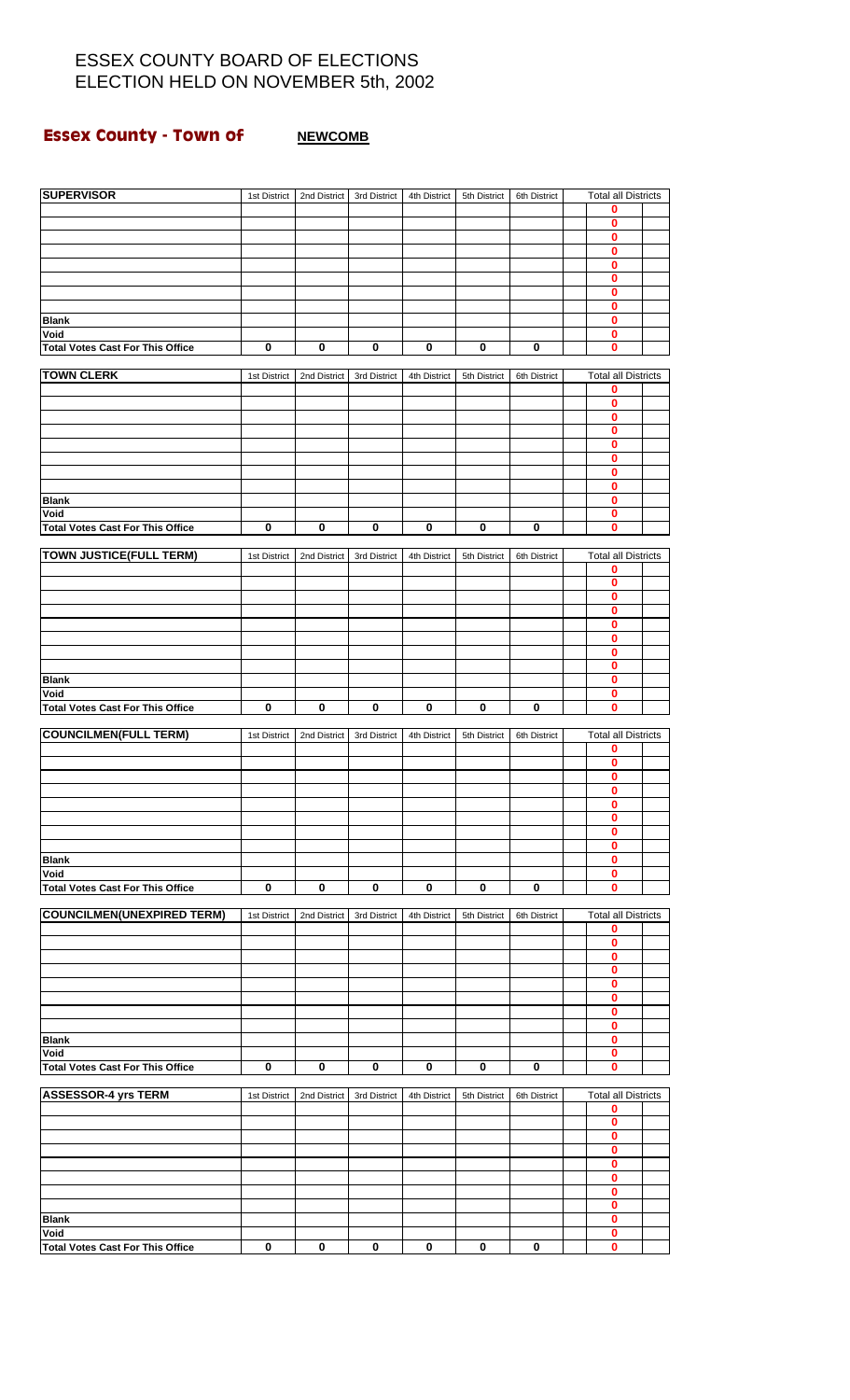## **Essex County - Town of MEWCOMB**

| <b>SUPERVISOR</b>                       | 1st District | 2nd District | 3rd District | 4th District | 5th District | 6th District | <b>Total all Districts</b>      |  |
|-----------------------------------------|--------------|--------------|--------------|--------------|--------------|--------------|---------------------------------|--|
|                                         |              |              |              |              |              |              | 0                               |  |
|                                         |              |              |              |              |              |              | 0                               |  |
|                                         |              |              |              |              |              |              | 0                               |  |
|                                         |              |              |              |              |              |              | 0                               |  |
|                                         |              |              |              |              |              |              | 0<br>0                          |  |
|                                         |              |              |              |              |              |              | 0                               |  |
|                                         |              |              |              |              |              |              | 0                               |  |
| <b>Blank</b>                            |              |              |              |              |              |              | 0                               |  |
| Void                                    |              |              |              |              |              |              | 0                               |  |
| <b>Total Votes Cast For This Office</b> | 0            | 0            | 0            | $\bf{0}$     | 0            | 0            | 0                               |  |
| <b>TOWN CLERK</b>                       | 1st District | 2nd District | 3rd District | 4th District | 5th District | 6th District | <b>Total all Districts</b>      |  |
|                                         |              |              |              |              |              |              | 0                               |  |
|                                         |              |              |              |              |              |              | 0                               |  |
|                                         |              |              |              |              |              |              | 0                               |  |
|                                         |              |              |              |              |              |              | 0                               |  |
|                                         |              |              |              |              |              |              | 0                               |  |
|                                         |              |              |              |              |              |              | 0<br>0                          |  |
|                                         |              |              |              |              |              |              | 0                               |  |
| <b>Blank</b>                            |              |              |              |              |              |              | 0                               |  |
| Void                                    |              |              |              |              |              |              | 0                               |  |
| <b>Total Votes Cast For This Office</b> | $\bf{0}$     | $\bf{0}$     | $\bf{0}$     | 0            | $\bf{0}$     | $\bf{0}$     | Ō                               |  |
|                                         |              |              |              |              |              |              |                                 |  |
| <b>TOWN JUSTICE(FULL TERM)</b>          | 1st District | 2nd District | 3rd District | 4th District | 5th District | 6th District | <b>Total all Districts</b><br>0 |  |
|                                         |              |              |              |              |              |              | 0                               |  |
|                                         |              |              |              |              |              |              | 0                               |  |
|                                         |              |              |              |              |              |              | 0                               |  |
|                                         |              |              |              |              |              |              | 0                               |  |
|                                         |              |              |              |              |              |              | 0                               |  |
|                                         |              |              |              |              |              |              | 0<br>0                          |  |
| <b>Blank</b>                            |              |              |              |              |              |              | 0                               |  |
| Void                                    |              |              |              |              |              |              | 0                               |  |
| <b>Total Votes Cast For This Office</b> | $\mathbf 0$  | $\bf{0}$     | $\bf{0}$     | $\pmb{0}$    | $\mathbf 0$  | $\bf{0}$     | 0                               |  |
|                                         |              |              |              |              |              |              |                                 |  |
| <b>COUNCILMEN(FULL TERM)</b>            | 1st District | 2nd District | 3rd District | 4th District | 5th District | 6th District | <b>Total all Districts</b><br>0 |  |
|                                         |              |              |              |              |              |              | $\bf{0}$                        |  |
|                                         |              |              |              |              |              |              | 0                               |  |
|                                         |              |              |              |              |              |              | 0                               |  |
|                                         |              |              |              |              |              |              | U                               |  |
|                                         |              |              |              |              |              |              | 0                               |  |
|                                         |              |              |              |              |              |              | 0<br>0                          |  |
| <b>Blank</b>                            |              |              |              |              |              |              | 0                               |  |
| Void                                    |              |              |              |              |              |              | 0                               |  |
| <b>Total Votes Cast For This Office</b> | $\bf{0}$     | 0            | 0            | 0            | 0            | 0            | 0                               |  |
|                                         |              |              |              |              |              |              |                                 |  |
| <b>COUNCILMEN(UNEXPIRED TERM)</b>       | 1st District | 2nd District | 3rd District | 4th District | 5th District | 6th District | <b>Total all Districts</b>      |  |
|                                         |              |              |              |              |              |              | 0<br>$\bf{0}$                   |  |
|                                         |              |              |              |              |              |              | 0                               |  |
|                                         |              |              |              |              |              |              | 0                               |  |
|                                         |              |              |              |              |              |              | 0                               |  |
|                                         |              |              |              |              |              |              | 0                               |  |
|                                         |              |              |              |              |              |              | 0<br>0                          |  |
| <b>Blank</b>                            |              |              |              |              |              |              | 0                               |  |
| Void                                    |              |              |              |              |              |              | $\bf{0}$                        |  |
| <b>Total Votes Cast For This Office</b> | $\bf{0}$     | $\mathbf 0$  | $\mathbf 0$  | $\bf{0}$     | $\bf{0}$     | 0            | 0                               |  |
|                                         |              |              |              |              |              |              |                                 |  |
| <b>ASSESSOR-4 yrs TERM</b>              | 1st District | 2nd District | 3rd District | 4th District | 5th District | 6th District | <b>Total all Districts</b><br>0 |  |
|                                         |              |              |              |              |              |              | 0                               |  |
|                                         |              |              |              |              |              |              | 0                               |  |
|                                         |              |              |              |              |              |              | 0                               |  |
|                                         |              |              |              |              |              |              | 0                               |  |
|                                         |              |              |              |              |              |              | 0                               |  |
|                                         |              |              |              |              |              |              | 0<br>0                          |  |
| <b>Blank</b>                            |              |              |              |              |              |              | O                               |  |
| Void                                    |              |              |              |              |              |              | 0                               |  |
| <b>Total Votes Cast For This Office</b> | $\bf{0}$     | 0            | $\mathbf 0$  | $\bf{0}$     | $\bf{0}$     | $\bf{0}$     | 0                               |  |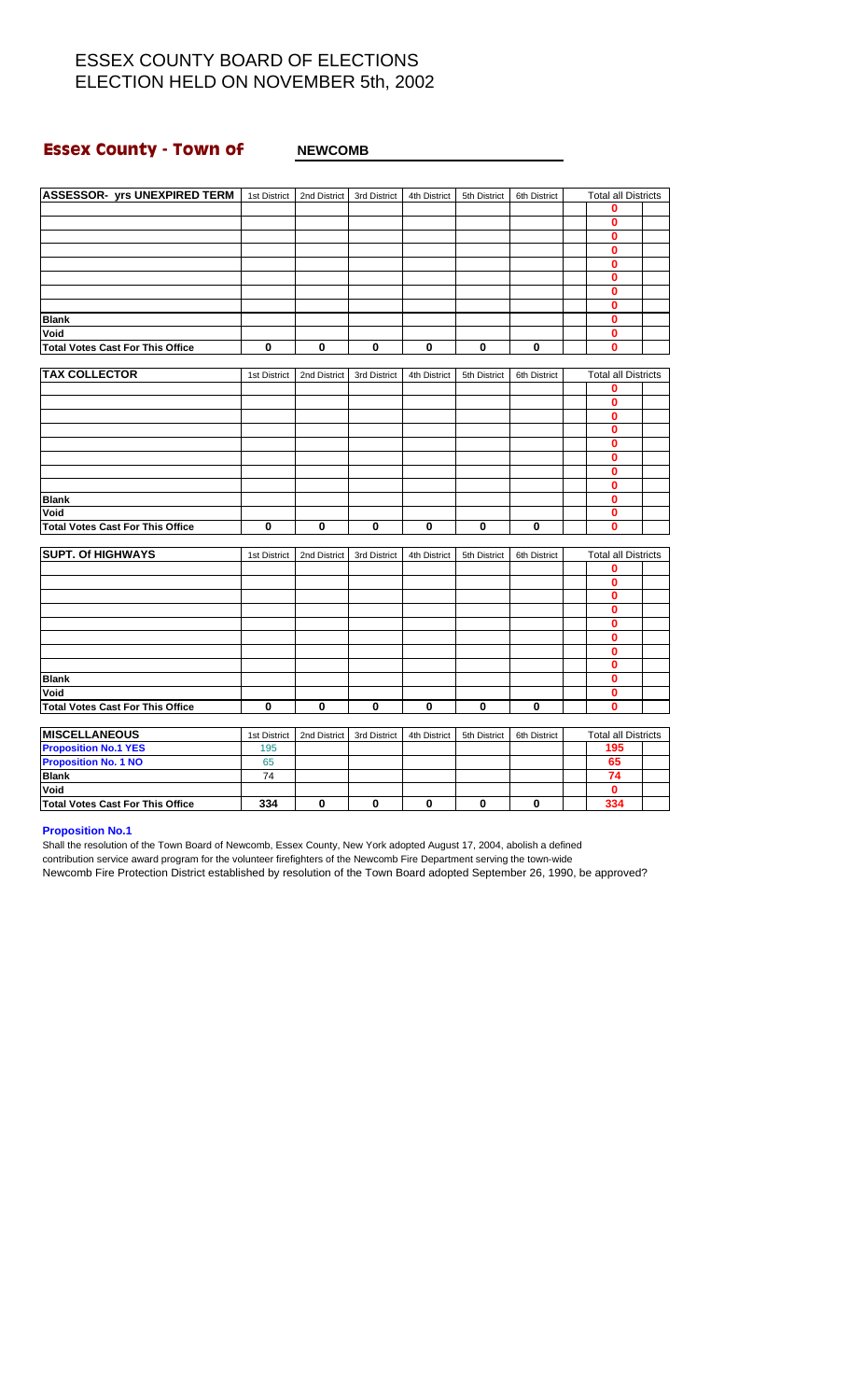#### **Essex County - Town of NEWCOMB**

| <b>ASSESSOR- yrs UNEXPIRED TERM</b>     | 1st District | 2nd District | 3rd District | 4th District | 5th District | 6th District | <b>Total all Districts</b> |  |
|-----------------------------------------|--------------|--------------|--------------|--------------|--------------|--------------|----------------------------|--|
|                                         |              |              |              |              |              |              | 0                          |  |
|                                         |              |              |              |              |              |              | 0                          |  |
|                                         |              |              |              |              |              |              | $\bf{0}$                   |  |
|                                         |              |              |              |              |              |              | $\bf{0}$                   |  |
|                                         |              |              |              |              |              |              | $\bf{0}$                   |  |
|                                         |              |              |              |              |              |              | $\bf{0}$                   |  |
|                                         |              |              |              |              |              |              | $\bf{0}$                   |  |
|                                         |              |              |              |              |              |              | 0                          |  |
| <b>Blank</b>                            |              |              |              |              |              |              | $\bf{0}$                   |  |
| Void                                    |              |              |              |              |              |              | $\bf{0}$                   |  |
| <b>Total Votes Cast For This Office</b> | 0            | 0            | 0            | 0            | 0            | 0            | $\bf{0}$                   |  |
|                                         |              |              |              |              |              |              |                            |  |
| <b>TAX COLLECTOR</b>                    | 1st District | 2nd District | 3rd District | 4th District | 5th District | 6th District | <b>Total all Districts</b> |  |
|                                         |              |              |              |              |              |              | $\mathbf 0$                |  |
|                                         |              |              |              |              |              |              | $\bf{0}$                   |  |
|                                         |              |              |              |              |              |              | $\bf{0}$                   |  |
|                                         |              |              |              |              |              |              | 0                          |  |
|                                         |              |              |              |              |              |              | $\bf{0}$                   |  |
|                                         |              |              |              |              |              |              | 0                          |  |
|                                         |              |              |              |              |              |              | $\bf{0}$                   |  |
|                                         |              |              |              |              |              |              | $\bf{0}$                   |  |
| <b>Blank</b>                            |              |              |              |              |              |              | $\bf{0}$                   |  |
| Void                                    |              |              |              |              |              |              | $\bf{0}$                   |  |
| <b>Total Votes Cast For This Office</b> | 0            | 0            | 0            | 0            | $\mathbf 0$  | 0            | 0                          |  |
|                                         |              |              |              |              |              |              |                            |  |
| <b>SUPT. Of HIGHWAYS</b>                | 1st District | 2nd District | 3rd District | 4th District | 5th District | 6th District | <b>Total all Districts</b> |  |
|                                         |              |              |              |              |              |              | 0                          |  |
|                                         |              |              |              |              |              |              | $\bf{0}$                   |  |
|                                         |              |              |              |              |              |              | $\bf{0}$                   |  |
|                                         |              |              |              |              |              |              | $\mathbf 0$                |  |
|                                         |              |              |              |              |              |              | $\bf{0}$                   |  |
|                                         |              |              |              |              |              |              | $\bf{0}$                   |  |
|                                         |              |              |              |              |              |              | 0                          |  |
|                                         |              |              |              |              |              |              | $\bf{0}$                   |  |
| <b>Blank</b>                            |              |              |              |              |              |              | $\bf{0}$                   |  |
| Void                                    |              |              |              |              |              |              | 0                          |  |
| <b>Total Votes Cast For This Office</b> | $\bf{0}$     | 0            | $\bf{0}$     | 0            | $\bf{0}$     | 0            | $\bf{0}$                   |  |
|                                         |              |              |              |              |              |              |                            |  |
| <b>MISCELLANEOUS</b>                    | 1st District | 2nd District | 3rd District | 4th District | 5th District | 6th District | <b>Total all Districts</b> |  |
| <b>Proposition No.1 YES</b>             | 195          |              |              |              |              |              | 195                        |  |
| <b>Proposition No. 1 NO</b>             | 65           |              |              |              |              |              | 65                         |  |
| <b>Blank</b>                            | 74           |              |              |              |              |              | 74                         |  |
| Void                                    |              |              |              |              |              |              | $\bf{0}$                   |  |
| <b>Total Votes Cast For This Office</b> | 334          | 0            | $\bf{0}$     | $\bf{0}$     | 0            | $\bf{0}$     | 334                        |  |

#### **Proposition No.1**

Shall the resolution of the Town Board of Newcomb, Essex County, New York adopted August 17, 2004, abolish a defined contribution service award program for the volunteer firefighters of the Newcomb Fire Department serving the town-wide Newcomb Fire Protection District established by resolution of the Town Board adopted September 26, 1990, be approved?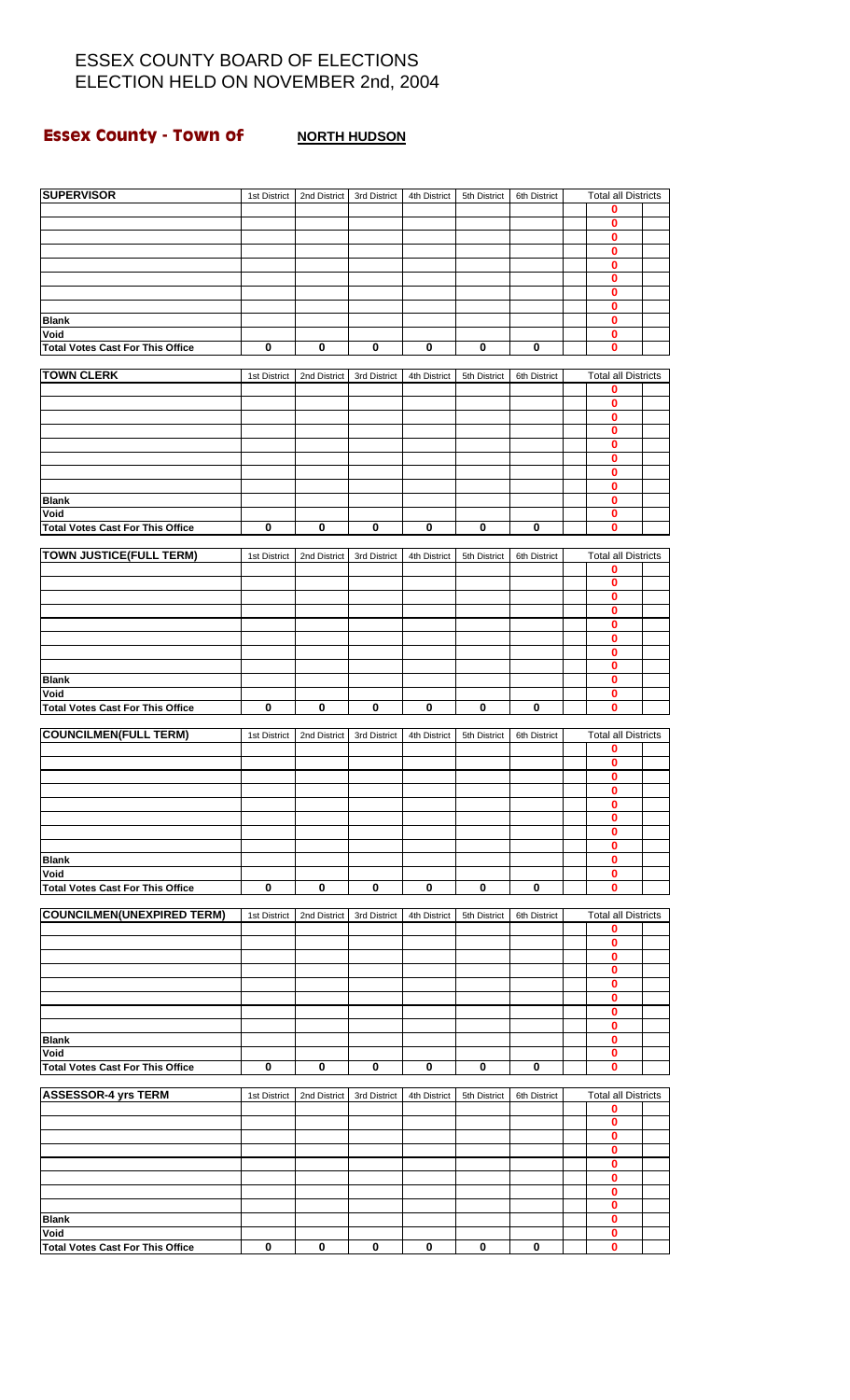#### **Essex County - Town of MORTH HUDSON**

| <b>SUPERVISOR</b>                               | 1st District | 2nd District | 3rd District | 4th District | 5th District | 6th District | <b>Total all Districts</b>      |  |
|-------------------------------------------------|--------------|--------------|--------------|--------------|--------------|--------------|---------------------------------|--|
|                                                 |              |              |              |              |              |              | 0                               |  |
|                                                 |              |              |              |              |              |              | 0                               |  |
|                                                 |              |              |              |              |              |              | 0<br>0                          |  |
|                                                 |              |              |              |              |              |              | 0                               |  |
|                                                 |              |              |              |              |              |              | 0                               |  |
|                                                 |              |              |              |              |              |              | 0<br>0                          |  |
| <b>Blank</b>                                    |              |              |              |              |              |              | 0                               |  |
| Void                                            |              |              |              |              |              |              | 0                               |  |
| <b>Total Votes Cast For This Office</b>         | $\pmb{0}$    | 0            | 0            | 0            | 0            | 0            | 0                               |  |
| <b>TOWN CLERK</b>                               | 1st District | 2nd District | 3rd District | 4th District | 5th District | 6th District | <b>Total all Districts</b>      |  |
|                                                 |              |              |              |              |              |              | 0                               |  |
|                                                 |              |              |              |              |              |              | 0<br>0                          |  |
|                                                 |              |              |              |              |              |              | 0                               |  |
|                                                 |              |              |              |              |              |              | 0                               |  |
|                                                 |              |              |              |              |              |              | 0<br>0                          |  |
|                                                 |              |              |              |              |              |              | 0                               |  |
| <b>Blank</b>                                    |              |              |              |              |              |              | 0                               |  |
| Void                                            |              |              |              |              |              |              | 0                               |  |
| <b>Total Votes Cast For This Office</b>         | $\pmb{0}$    | 0            | 0            | 0            | 0            | 0            | 0                               |  |
| <b>TOWN JUSTICE(FULL TERM)</b>                  | 1st District | 2nd District | 3rd District | 4th District | 5th District | 6th District | <b>Total all Districts</b>      |  |
|                                                 |              |              |              |              |              |              | 0<br>0                          |  |
|                                                 |              |              |              |              |              |              | 0                               |  |
|                                                 |              |              |              |              |              |              | 0                               |  |
|                                                 |              |              |              |              |              |              | 0                               |  |
|                                                 |              |              |              |              |              |              | 0<br>0                          |  |
|                                                 |              |              |              |              |              |              | 0                               |  |
| <b>Blank</b>                                    |              |              |              |              |              |              | 0                               |  |
| Void<br><b>Total Votes Cast For This Office</b> | 0            | 0            | 0            | $\bf{0}$     | $\pmb{0}$    | $\bf{0}$     | 0<br>$\bf{0}$                   |  |
|                                                 |              |              |              |              |              |              |                                 |  |
| <b>COUNCILMEN(FULL TERM)</b>                    | 1st District | 2nd District | 3rd District | 4th District | 5th District | 6th District | <b>Total all Districts</b><br>0 |  |
|                                                 |              |              |              |              |              |              | 0                               |  |
|                                                 |              |              |              |              |              |              | 0                               |  |
|                                                 |              |              |              |              |              |              | 0                               |  |
|                                                 |              |              |              |              |              |              | U<br>0                          |  |
|                                                 |              |              |              |              |              |              | 0                               |  |
|                                                 |              |              |              |              |              |              | 0                               |  |
| <b>Blank</b><br>Void                            |              |              |              |              |              |              | 0<br>0                          |  |
| <b>Total Votes Cast For This Office</b>         | $\bf{0}$     | 0            | 0            | 0            | 0            | 0            | 0                               |  |
|                                                 |              |              |              |              |              |              |                                 |  |
| <b>COUNCILMEN(UNEXPIRED TERM)</b>               | 1st District | 2nd District | 3rd District | 4th District | 5th District | 6th District | <b>Total all Districts</b><br>0 |  |
|                                                 |              |              |              |              |              |              | $\bf{0}$                        |  |
|                                                 |              |              |              |              |              |              | 0                               |  |
|                                                 |              |              |              |              |              |              | 0<br>0                          |  |
|                                                 |              |              |              |              |              |              | 0                               |  |
|                                                 |              |              |              |              |              |              | 0                               |  |
| <b>Blank</b>                                    |              |              |              |              |              |              | 0<br>0                          |  |
| Void                                            |              |              |              |              |              |              | 0                               |  |
| <b>Total Votes Cast For This Office</b>         | $\bf{0}$     | 0            | 0            | 0            | 0            | 0            | 0                               |  |
| <b>ASSESSOR-4 yrs TERM</b>                      | 1st District | 2nd District | 3rd District | 4th District | 5th District | 6th District | <b>Total all Districts</b>      |  |
|                                                 |              |              |              |              |              |              | 0                               |  |
|                                                 |              |              |              |              |              |              | 0<br>$\bf{0}$                   |  |
|                                                 |              |              |              |              |              |              | 0                               |  |
|                                                 |              |              |              |              |              |              | 0                               |  |
|                                                 |              |              |              |              |              |              | $\bf{0}$                        |  |
|                                                 |              |              |              |              |              |              | 0<br>0                          |  |
| <b>Blank</b>                                    |              |              |              |              |              |              | 0                               |  |
| Void                                            |              |              |              |              |              |              | 0                               |  |
| <b>Total Votes Cast For This Office</b>         | $\pmb{0}$    | $\pmb{0}$    | 0            | $\pmb{0}$    | $\pmb{0}$    | 0            | 0                               |  |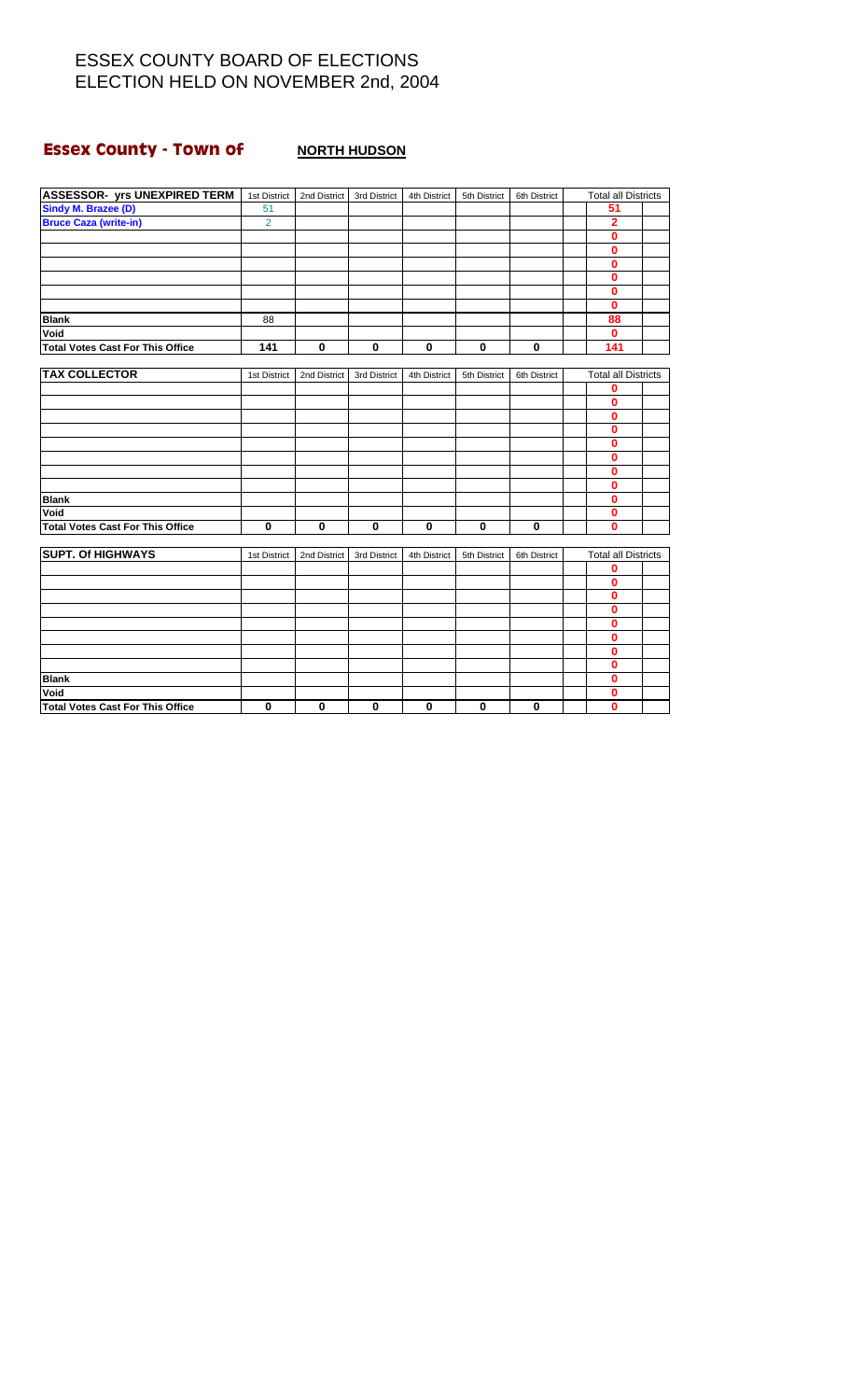# **Essex County - Town of** <br>**NORTH HUDSON**

| <b>ASSESSOR- yrs UNEXPIRED TERM</b>     | 1st District   | 2nd District | 3rd District | 4th District | 5th District | 6th District | <b>Total all Districts</b> |  |
|-----------------------------------------|----------------|--------------|--------------|--------------|--------------|--------------|----------------------------|--|
| Sindy M. Brazee (D)                     | 51             |              |              |              |              |              | 51                         |  |
| <b>Bruce Caza (write-in)</b>            | $\overline{2}$ |              |              |              |              |              | 2                          |  |
|                                         |                |              |              |              |              |              | $\mathbf{0}$               |  |
|                                         |                |              |              |              |              |              | $\mathbf{0}$               |  |
|                                         |                |              |              |              |              |              | $\mathbf{0}$               |  |
|                                         |                |              |              |              |              |              | $\mathbf{0}$               |  |
|                                         |                |              |              |              |              |              | 0                          |  |
|                                         |                |              |              |              |              |              | $\mathbf{0}$               |  |
| <b>Blank</b>                            | 88             |              |              |              |              |              | 88                         |  |
| Void                                    |                |              |              |              |              |              | $\bf{0}$                   |  |
| <b>Total Votes Cast For This Office</b> | 141            | $\bf{0}$     | $\mathbf 0$  | $\bf{0}$     | $\mathbf 0$  | 0            | 141                        |  |
|                                         |                |              |              |              |              |              |                            |  |
| <b>TAX COLLECTOR</b>                    | 1st District   | 2nd District | 3rd District | 4th District | 5th District | 6th District | <b>Total all Districts</b> |  |
|                                         |                |              |              |              |              |              | 0                          |  |
|                                         |                |              |              |              |              |              | $\bf{0}$                   |  |
|                                         |                |              |              |              |              |              | $\bf{0}$                   |  |
|                                         |                |              |              |              |              |              | 0                          |  |
|                                         |                |              |              |              |              |              | 0                          |  |
|                                         |                |              |              |              |              |              | $\mathbf{0}$               |  |
|                                         |                |              |              |              |              |              | 0                          |  |
|                                         |                |              |              |              |              |              | 0                          |  |
| <b>Blank</b>                            |                |              |              |              |              |              | 0                          |  |
| Void                                    |                |              |              |              |              |              | $\mathbf 0$                |  |
| <b>Total Votes Cast For This Office</b> | $\mathbf 0$    | $\bf{0}$     | $\mathbf 0$  | $\mathbf 0$  | $\mathbf 0$  | 0            | 0                          |  |
|                                         |                |              |              |              |              |              |                            |  |
| <b>SUPT. Of HIGHWAYS</b>                | 1st District   | 2nd District | 3rd District | 4th District | 5th District | 6th District | <b>Total all Districts</b> |  |
|                                         |                |              |              |              |              |              | 0                          |  |
|                                         |                |              |              |              |              |              | 0                          |  |
|                                         |                |              |              |              |              |              | 0                          |  |
|                                         |                |              |              |              |              |              | 0                          |  |
|                                         |                |              |              |              |              |              | $\mathbf{0}$               |  |
|                                         |                |              |              |              |              |              | 0                          |  |
|                                         |                |              |              |              |              |              | 0                          |  |
|                                         |                |              |              |              |              |              | 0                          |  |
| <b>Blank</b>                            |                |              |              |              |              |              | $\bf{0}$                   |  |
| Void                                    |                |              |              |              |              |              | 0                          |  |
| <b>Total Votes Cast For This Office</b> | $\mathbf 0$    | $\bf{0}$     | 0            | $\bf{0}$     | $\mathbf 0$  | $\mathbf 0$  | 0                          |  |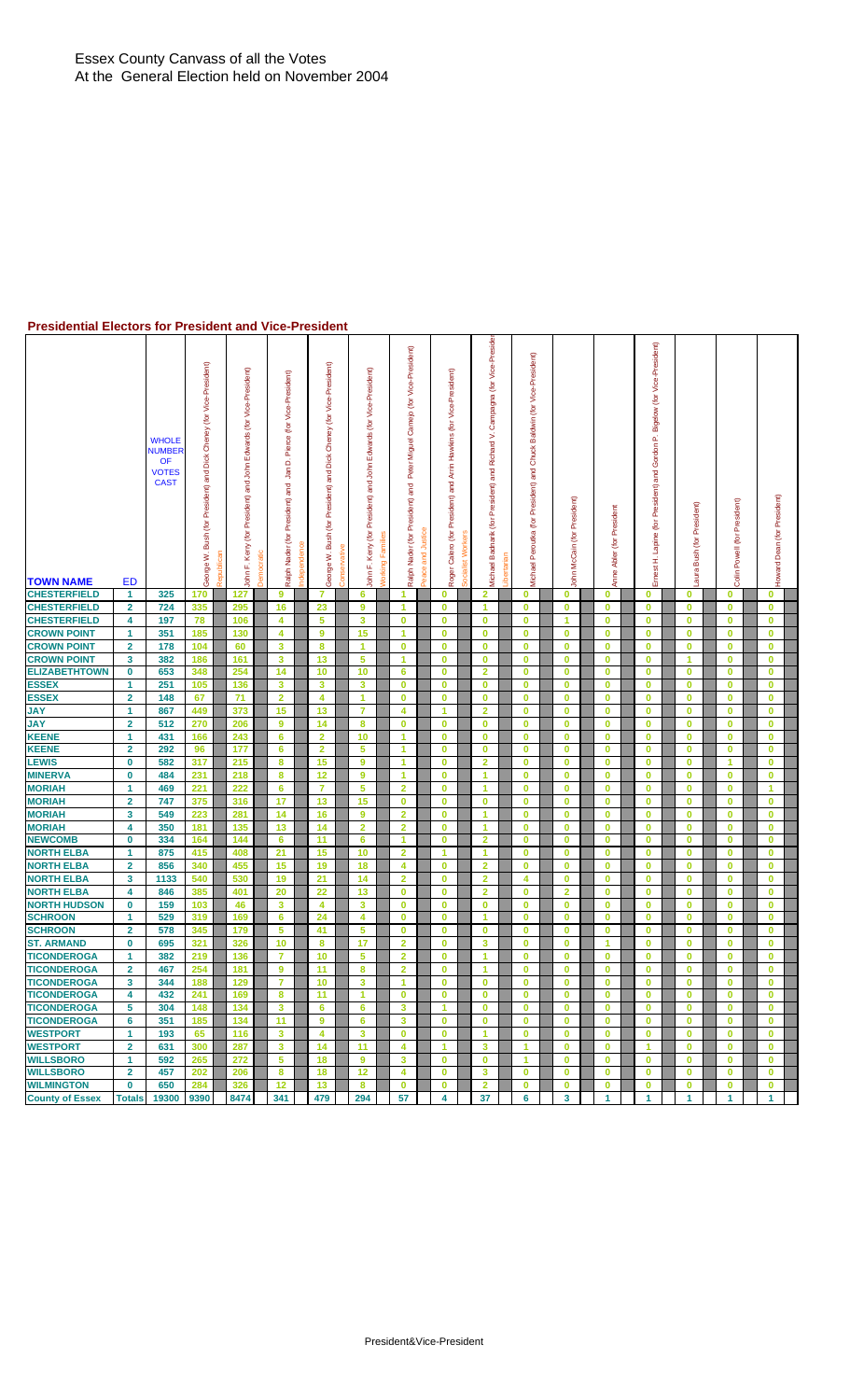#### **Presidential Electors for President and Vice-President**

| <b>TOWN NAME</b>                         | <b>ED</b>               | <b>WHOLE</b><br><b>NUMBER</b><br>OF<br><b>VOTES</b><br><b>CAST</b> | George W. Bush (for President) and Dick Cheney (for Vice-President) | John F. Kerry (for President) and John Edwards (for Vice-President)<br>Republicar | <b>Jemocration</b> | Pierce (for Vice-President)<br>ó<br>Ĵan<br>President) and<br>Ralph Nader (for<br>ndepender | Dick Cheney (for Vice-President)<br>George W. Bush (for President) and | <b>Conservative</b> | Edwards (for Vice-President)<br>ohn F. Kerry (for President) and John | Vorking | Camejo (for Vice-President)<br>Peter Miguel<br>and<br>Ralph Nader (for President) | and Justice<br>Peace | Vice-President)<br>(for<br>Arrin Hawkins<br>Roger Calero (for President) and | Socialist Workers | -Presider<br>Vice-<br>(for<br>Campagna<br>⊳<br>Richard<br>and<br>President)<br>ē<br><b>Aichael Badnarik</b> | <b>ibertarian</b> | Vice-President)<br>Baldwin (for<br>Chuck<br>and<br>President)<br>(for<br>Peroutka<br>Michael | President)<br>$\tilde{\epsilon}$<br>John McCain | President<br>Abler (for<br>Anne | (for President) and Gordon P. Bigelow (for Vice-President)<br>Lapine<br>H<br>Ernest | President)<br>(for<br>Bush<br>aura | President)<br>Powell (for<br>Colin | Howard Dean (for President) |  |
|------------------------------------------|-------------------------|--------------------------------------------------------------------|---------------------------------------------------------------------|-----------------------------------------------------------------------------------|--------------------|--------------------------------------------------------------------------------------------|------------------------------------------------------------------------|---------------------|-----------------------------------------------------------------------|---------|-----------------------------------------------------------------------------------|----------------------|------------------------------------------------------------------------------|-------------------|-------------------------------------------------------------------------------------------------------------|-------------------|----------------------------------------------------------------------------------------------|-------------------------------------------------|---------------------------------|-------------------------------------------------------------------------------------|------------------------------------|------------------------------------|-----------------------------|--|
| <b>CHESTERFIELD</b>                      | 1                       | 325                                                                | 170                                                                 | 127                                                                               |                    | 9                                                                                          | 7                                                                      |                     | 6                                                                     |         | -1                                                                                |                      | 0                                                                            |                   | 2                                                                                                           |                   | 0                                                                                            | $\bf{0}$                                        | $\bf{0}$                        | $\bf{0}$                                                                            | 0                                  | $\bf{0}$                           | $\bf{0}$                    |  |
| <b>CHESTERFIELD</b>                      | $\overline{\mathbf{2}}$ | 724                                                                | 335                                                                 | 295                                                                               |                    | 16                                                                                         | 23                                                                     |                     | 9                                                                     |         | 1                                                                                 |                      | $\bf{0}$                                                                     |                   | 1                                                                                                           |                   | 0                                                                                            | 0                                               | $\bf{0}$                        | $\bf{0}$                                                                            | 0                                  | $\bf{0}$                           | $\bf{0}$                    |  |
| <b>CHESTERFIELD</b>                      | 4                       | 197                                                                | 78                                                                  | 106                                                                               |                    | 4                                                                                          | 5                                                                      |                     | 3                                                                     |         | $\bf{0}$                                                                          |                      | $\bf{0}$                                                                     |                   | $\bf{0}$                                                                                                    |                   | 0                                                                                            | 1                                               | $\bf{0}$                        | $\bf{0}$                                                                            | 0                                  | $\mathbf 0$                        | $\mathbf 0$                 |  |
| <b>CROWN POINT</b>                       | $\blacktriangleleft$    | 351                                                                | 185                                                                 | 130                                                                               |                    | 4                                                                                          | 9                                                                      |                     | 15                                                                    |         | $\overline{1}$                                                                    |                      | $\bf{0}$                                                                     |                   | $\bf{0}$                                                                                                    |                   | $\bf{0}$                                                                                     | $\mathbf 0$                                     | $\bf{0}$                        | $\bf{0}$                                                                            | $\bf{0}$                           | $\bf{0}$                           | $\mathbf 0$                 |  |
| <b>CROWN POINT</b>                       | $\overline{\mathbf{2}}$ | 178                                                                | 104                                                                 | 60                                                                                |                    | 3                                                                                          | 8                                                                      |                     | 1                                                                     |         | $\bf{0}$                                                                          |                      | $\bf{0}$                                                                     |                   | $\mathbf 0$                                                                                                 |                   | 0                                                                                            | $\bf{0}$                                        | $\bf{0}$                        | $\bf{0}$                                                                            | 0                                  | 0                                  | $\bf{0}$                    |  |
| <b>CROWN POINT</b>                       | 3                       | 382                                                                | 186                                                                 | 161                                                                               |                    | 3                                                                                          | 13                                                                     |                     | 5                                                                     |         | 1                                                                                 |                      | $\bf{0}$                                                                     |                   | $\bf{0}$                                                                                                    |                   | 0                                                                                            | $\bf{0}$                                        | $\bf{0}$                        | 0                                                                                   | 1                                  | 0                                  | $\mathbf 0$                 |  |
| <b>ELIZABETHTOWN</b>                     | 0                       | 653                                                                | 348                                                                 | 254                                                                               |                    | 14                                                                                         | 10                                                                     |                     | 10                                                                    |         | 6                                                                                 |                      | $\bf{0}$                                                                     |                   | $\overline{\mathbf{2}}$                                                                                     |                   | 0                                                                                            | $\bf{0}$                                        | $\bf{0}$                        | $\bf{0}$                                                                            | 0                                  | 0                                  | $\bf{0}$                    |  |
| <b>ESSEX</b>                             | 1                       | 251                                                                | 105                                                                 | 136                                                                               |                    | 3                                                                                          | 3                                                                      |                     | $\mathbf{3}$                                                          |         | $\bf{0}$                                                                          |                      | $\bf{0}$                                                                     |                   | $\bf{0}$                                                                                                    |                   | $\bf{0}$                                                                                     | $\mathbf 0$                                     | $\bf{0}$                        | $\bf{0}$                                                                            | $\bf{0}$                           | $\bf{0}$                           | $\mathbf 0$                 |  |
| <b>ESSEX</b>                             | $\overline{\mathbf{2}}$ | 148                                                                | 67                                                                  | 71                                                                                |                    | $\overline{2}$                                                                             | 4                                                                      |                     | $\overline{1}$                                                        |         | $\mathbf{0}$                                                                      |                      | $\bf{0}$                                                                     |                   | $\mathbf{0}$                                                                                                |                   | $\bf{0}$                                                                                     | $\bf{0}$                                        | $\mathbf{0}$                    | $\mathbf{0}$                                                                        | $\mathbf{0}$                       | $\mathbf{0}$                       | $\mathbf{0}$                |  |
| <b>JAY</b>                               | $\mathbf{1}$            | 867                                                                | 449                                                                 | 373                                                                               |                    | 15                                                                                         | 13                                                                     |                     | 7                                                                     |         | 4                                                                                 |                      | $\blacktriangleleft$                                                         |                   | $\overline{2}$                                                                                              |                   | 0                                                                                            | $\mathbf 0$                                     | $\bf{0}$                        | $\bf{0}$                                                                            | 0                                  | $\bf{0}$                           | $\mathbf 0$                 |  |
| <b>JAY</b>                               | $\overline{\mathbf{2}}$ | 512                                                                | 270                                                                 | 206                                                                               |                    | 9                                                                                          | 14                                                                     |                     | 8                                                                     |         | $\bf{0}$                                                                          |                      | $\bf{0}$                                                                     |                   | $\bf{0}$                                                                                                    |                   | 0                                                                                            | $\bf{0}$                                        | $\bf{0}$                        | 0                                                                                   | 0                                  | $\bf{0}$                           | $\mathbf 0$                 |  |
| <b>KEENE</b>                             | $\mathbf{1}$            | 431                                                                | 166                                                                 | 243                                                                               |                    | 6                                                                                          | $\overline{2}$                                                         |                     | 10                                                                    |         | 1                                                                                 |                      | $\bf{0}$                                                                     |                   | $\bf{0}$                                                                                                    |                   | 0                                                                                            | $\bf{0}$                                        | $\bf{0}$                        | $\mathbf 0$                                                                         | 0                                  | $\bf{0}$                           | $\bf{0}$                    |  |
| <b>KEENE</b>                             | $\overline{\mathbf{2}}$ | 292                                                                | 96                                                                  | 177                                                                               |                    | 6                                                                                          | $\overline{2}$                                                         |                     | 5                                                                     |         | 1                                                                                 |                      | $\bf{0}$                                                                     |                   | $\mathbf 0$                                                                                                 |                   | $\bf{0}$                                                                                     | $\bf{0}$                                        | $\bf{0}$                        | $\bf{0}$                                                                            | $\bf{0}$                           | $\bf{0}$                           | $\mathbf 0$                 |  |
| <b>LEWIS</b><br><b>MINERVA</b>           | $\bf{0}$<br>$\bf{0}$    | 582                                                                | 317                                                                 | 215<br>218                                                                        |                    | 8                                                                                          | 15<br>12                                                               |                     | 9<br>9                                                                |         | $\overline{1}$<br>1                                                               |                      | $\bf{0}$                                                                     |                   | $\overline{2}$<br>1                                                                                         |                   | $\bf{0}$<br>0                                                                                | $\mathbf 0$<br>$\mathbf{0}$                     | $\mathbf 0$<br>$\mathbf 0$      | $\bf{0}$<br>$\bf{0}$                                                                | $\bf{0}$<br>$\bf{0}$               | 1<br>0                             | $\mathbf 0$<br>$\bf{0}$     |  |
| <b>MORIAH</b>                            | 1                       | 484<br>469                                                         | 231<br>221                                                          | 222                                                                               |                    | 8<br>6                                                                                     | 7                                                                      |                     | 5                                                                     |         | $\overline{\mathbf{2}}$                                                           |                      | $\bf{0}$<br>$\bf{0}$                                                         |                   | 1                                                                                                           |                   | 0                                                                                            | $\bf{0}$                                        | $\bf{0}$                        | $\bf{0}$                                                                            | $\bf{0}$                           | 0                                  | 1                           |  |
| <b>MORIAH</b>                            | $\overline{2}$          | 747                                                                | 375                                                                 | 316                                                                               |                    | 17                                                                                         | 13                                                                     |                     | 15                                                                    |         | $\bf{0}$                                                                          |                      | $\bf{0}$                                                                     |                   | $\bf{0}$                                                                                                    |                   | 0                                                                                            | $\bf{0}$                                        | $\bf{0}$                        | 0                                                                                   | 0                                  | 0                                  | $\bf{0}$                    |  |
| <b>MORIAH</b>                            | 3                       | 549                                                                | 223                                                                 | 281                                                                               |                    | 14                                                                                         | 16                                                                     |                     | 9                                                                     |         | $\overline{2}$                                                                    |                      | $\bf{0}$                                                                     |                   | 1                                                                                                           |                   | $\bf{0}$                                                                                     | $\mathbf 0$                                     | $\mathbf{0}$                    | $\bf{0}$                                                                            | $\bf{0}$                           | $\mathbf{0}$                       | $\mathbf 0$                 |  |
| <b>MORIAH</b>                            | 4                       | 350                                                                | 181                                                                 | 135                                                                               |                    | 13                                                                                         | 14                                                                     |                     | $\overline{2}$                                                        |         | $\overline{2}$                                                                    |                      | $\bf{0}$                                                                     |                   | 1                                                                                                           |                   | $\bf{0}$                                                                                     | $\mathbf 0$                                     | $\mathbf 0$                     | $\mathbf{0}$                                                                        | $\bf{0}$                           | $\bf{0}$                           | $\mathbf 0$                 |  |
| <b>NEWCOMB</b>                           | $\bf{0}$                | 334                                                                | 164                                                                 | 144                                                                               |                    | 6                                                                                          | 11                                                                     |                     | 6                                                                     |         | $\blacktriangleleft$                                                              |                      | $\bf{0}$                                                                     |                   | $\overline{2}$                                                                                              |                   | 0                                                                                            | $\mathbf 0$                                     | $\mathbf 0$                     | $\bf{0}$                                                                            | $\bf{0}$                           | $\mathbf 0$                        | $\mathbf{0}$                |  |
| <b>NORTH ELBA</b>                        | $\mathbf 1$             | 875                                                                | 415                                                                 | 408                                                                               |                    | 21                                                                                         | 15                                                                     |                     | 10                                                                    |         | $\overline{2}$                                                                    |                      | 1                                                                            |                   | -1                                                                                                          |                   | 0                                                                                            | $\bf{0}$                                        | $\bf{0}$                        | 0                                                                                   | 0                                  | 0                                  | $\bf{0}$                    |  |
| <b>NORTH ELBA</b>                        | $\overline{2}$          | 856                                                                | 340                                                                 | 455                                                                               |                    | 15                                                                                         | 19                                                                     |                     | 18                                                                    |         | 4                                                                                 |                      | $\bf{0}$                                                                     |                   | $\overline{\mathbf{2}}$                                                                                     |                   | 0                                                                                            | $\bf{0}$                                        | $\bf{0}$                        | $\bf{0}$                                                                            | 0                                  | $\bf{0}$                           | $\bf{0}$                    |  |
| <b>NORTH ELBA</b>                        | 3                       | 1133                                                               | 540                                                                 | 530                                                                               |                    | 19                                                                                         | 21                                                                     |                     | 14                                                                    |         | $\overline{2}$                                                                    |                      | $\bf{0}$                                                                     |                   | $\overline{2}$                                                                                              |                   | 4                                                                                            | $\bf{0}$                                        | $\bf{0}$                        | $\bf{0}$                                                                            | 0                                  | $\bf{0}$                           | $\mathbf{0}$                |  |
| <b>NORTH ELBA</b>                        | 4                       | 846                                                                | 385                                                                 | 401                                                                               |                    | 20                                                                                         | 22                                                                     |                     | 13                                                                    |         | $\mathbf 0$                                                                       |                      | $\bf{0}$                                                                     |                   | $\overline{2}$                                                                                              |                   | $\bf{0}$                                                                                     | $\overline{2}$                                  | $\mathbf 0$                     | $\bf{0}$                                                                            | $\bf{0}$                           | $\bf{0}$                           | $\mathbf 0$                 |  |
| <b>NORTH HUDSON</b>                      | 0                       | 159                                                                | 103                                                                 | 46                                                                                |                    | 3                                                                                          | 4                                                                      |                     | 3                                                                     |         | $\bf{0}$                                                                          |                      | $\bf{0}$                                                                     |                   | $\bf{0}$                                                                                                    |                   | 0                                                                                            | $\bf{0}$                                        | $\bf{0}$                        | $\bf{0}$                                                                            | 0                                  | 0                                  | $\bf{0}$                    |  |
| <b>SCHROON</b>                           | 1                       | 529                                                                | 319                                                                 | 169                                                                               |                    | 6                                                                                          | 24                                                                     |                     | 4                                                                     |         | $\bf{0}$                                                                          |                      | $\bf{0}$                                                                     |                   | $\blacktriangleleft$                                                                                        |                   | 0                                                                                            | $\mathbf 0$                                     | $\bf{0}$                        | 0                                                                                   | 0                                  | 0                                  | $\mathbf 0$                 |  |
| <b>SCHROON</b>                           | $\overline{\mathbf{2}}$ | 578                                                                | 345                                                                 | 179                                                                               |                    | 5                                                                                          | 41                                                                     |                     | 5                                                                     |         | $\bf{0}$                                                                          |                      | $\bf{0}$                                                                     |                   | $\bf{0}$                                                                                                    |                   | 0                                                                                            | $\bf{0}$                                        | $\bf{0}$                        | $\bf{0}$                                                                            | 0                                  | 0                                  | $\bf{0}$                    |  |
| <b>ST. ARMAND</b>                        | 0                       | 695                                                                | 321                                                                 | 326                                                                               |                    | 10                                                                                         | 8                                                                      |                     | 17                                                                    |         | $\overline{2}$                                                                    |                      | $\bf{0}$                                                                     |                   | 3                                                                                                           |                   | 0                                                                                            | $\mathbf 0$                                     | 1                               | $\bf{0}$                                                                            | 0                                  | 0                                  | $\bf{0}$                    |  |
| <b>TICONDEROGA</b>                       | 1                       | 382                                                                | 219                                                                 | 136                                                                               |                    | $\overline{7}$                                                                             | 10                                                                     |                     | 5                                                                     |         | $\overline{2}$                                                                    |                      | $\bf{0}$                                                                     |                   | 1                                                                                                           |                   | $\mathbf{0}$                                                                                 | Ō                                               | $\bf{0}$                        | $\bf{0}$                                                                            | $\mathbf{0}$                       | $\mathbf{0}$                       | $\bf{0}$                    |  |
| <b>TICONDEROGA</b>                       | $\mathbf{2}$            | 467                                                                | 254                                                                 | 181                                                                               |                    | 9                                                                                          | 11                                                                     |                     | 8                                                                     |         | $\overline{2}$                                                                    |                      | $\bf{0}$                                                                     |                   | 1                                                                                                           |                   | $\bf{0}$                                                                                     | $\mathbf{0}$                                    | $\mathbf 0$                     | $\mathbf{0}$                                                                        | $\bf{0}$                           | $\bf{0}$                           | $\mathbf{0}$                |  |
| <b>TICONDEROGA</b>                       | 3                       | 344                                                                | 188                                                                 | 129                                                                               |                    | $\overline{7}$                                                                             | 10                                                                     |                     | 3                                                                     |         | -1                                                                                |                      | 0                                                                            |                   | $\bf{0}$                                                                                                    |                   | 0                                                                                            | $\bf{0}$                                        | $\bf{0}$                        | 0                                                                                   | 0                                  | 0                                  | $\bf{0}$                    |  |
| <b>TICONDEROGA</b>                       | 4                       | 432                                                                | 241                                                                 | 169                                                                               |                    | 8                                                                                          | 11                                                                     |                     | $\blacktriangleleft$                                                  |         | $\bf{0}$                                                                          |                      | $\bf{0}$                                                                     |                   | $\bf{0}$                                                                                                    |                   | 0                                                                                            | $\bf{0}$                                        | $\bf{0}$                        | $\bf{0}$                                                                            | 0                                  | $\bf{0}$                           | $\bf{0}$                    |  |
| <b>TICONDEROGA</b><br><b>TICONDEROGA</b> | 5<br>6                  | 304                                                                | 148                                                                 | 134                                                                               |                    | 3<br>11                                                                                    | 6<br>9                                                                 |                     | 6                                                                     |         | 3<br>3                                                                            |                      | 1<br>$\bf{0}$                                                                |                   | $\bf{0}$<br>$\mathbf 0$                                                                                     |                   | 0<br>$\bf{0}$                                                                                | $\bf{0}$<br>$\mathbf 0$                         | $\bf{0}$<br>$\mathbf 0$         | $\bf{0}$                                                                            | 0<br>$\bf{0}$                      | $\bf{0}$<br>$\bf{0}$               | $\mathbf{0}$<br>$\bf{0}$    |  |
| <b>WESTPORT</b>                          | $\mathbf{1}$            | 351<br>193                                                         | 185<br>65                                                           | 134<br>116                                                                        |                    | 3                                                                                          | 4                                                                      |                     | 6<br>3                                                                |         | $\mathbf{0}$                                                                      |                      | $\bf{0}$                                                                     |                   | $\blacktriangleleft$                                                                                        |                   | 0                                                                                            | $\bf{0}$                                        | $\mathbf 0$                     | $\bf{0}$<br>$\bf{0}$                                                                | $\bf{0}$                           | 0                                  | $\bf{0}$                    |  |
| <b>WESTPORT</b>                          | $\overline{\mathbf{2}}$ | 631                                                                | 300                                                                 | 287                                                                               |                    | 3                                                                                          | 14                                                                     |                     | 11                                                                    |         | 4                                                                                 |                      | 1                                                                            |                   | $\mathbf{3}$                                                                                                |                   | 1                                                                                            | $\bf{0}$                                        | $\mathbf 0$                     | 1                                                                                   | 0                                  | 0                                  | $\bf{0}$                    |  |
| <b>WILLSBORO</b>                         | 1                       | 592                                                                | 265                                                                 | 272                                                                               |                    | 5                                                                                          | 18                                                                     |                     | 9                                                                     |         | 3                                                                                 |                      | $\bf{0}$                                                                     |                   | $\bf{0}$                                                                                                    |                   | $\blacktriangleleft$                                                                         | $\bf{0}$                                        | $\bf{0}$                        | 0                                                                                   | 0                                  | 0                                  | $\bf{0}$                    |  |
| <b>WILLSBORO</b>                         | $\overline{2}$          | 457                                                                | 202                                                                 | 206                                                                               |                    | 8                                                                                          | 18                                                                     |                     | 12                                                                    |         | 4                                                                                 |                      | $\bf{0}$                                                                     |                   | 3                                                                                                           |                   | $\bf{0}$                                                                                     | $\bf{0}$                                        | $\bf{0}$                        | $\bf{0}$                                                                            | 0                                  | $\mathbf{0}$                       | $\mathbf 0$                 |  |
| <b>WILMINGTON</b>                        | $\bf{0}$                | 650                                                                | 284                                                                 | 326                                                                               |                    | 12                                                                                         | 13                                                                     |                     | 8                                                                     |         | $\bf{0}$                                                                          |                      | $\bf{0}$                                                                     |                   | $\overline{2}$                                                                                              |                   | 0                                                                                            | $\bf{0}$                                        | $\bf{0}$                        | $\bf{0}$                                                                            | 0                                  | $\bf{0}$                           | $\bf{0}$                    |  |
| <b>County of Essex</b>                   | <b>Totals</b>           | 19300                                                              | 9390                                                                | 8474                                                                              |                    | 341                                                                                        | 479                                                                    |                     | 294                                                                   |         | 57                                                                                |                      | 4                                                                            |                   | 37                                                                                                          |                   | 6                                                                                            | $\mathbf{3}$                                    | $\mathbf{1}$                    | $\mathbf{1}$                                                                        | $\mathbf{1}$                       | $\mathbf{1}$                       | $\mathbf{1}$                |  |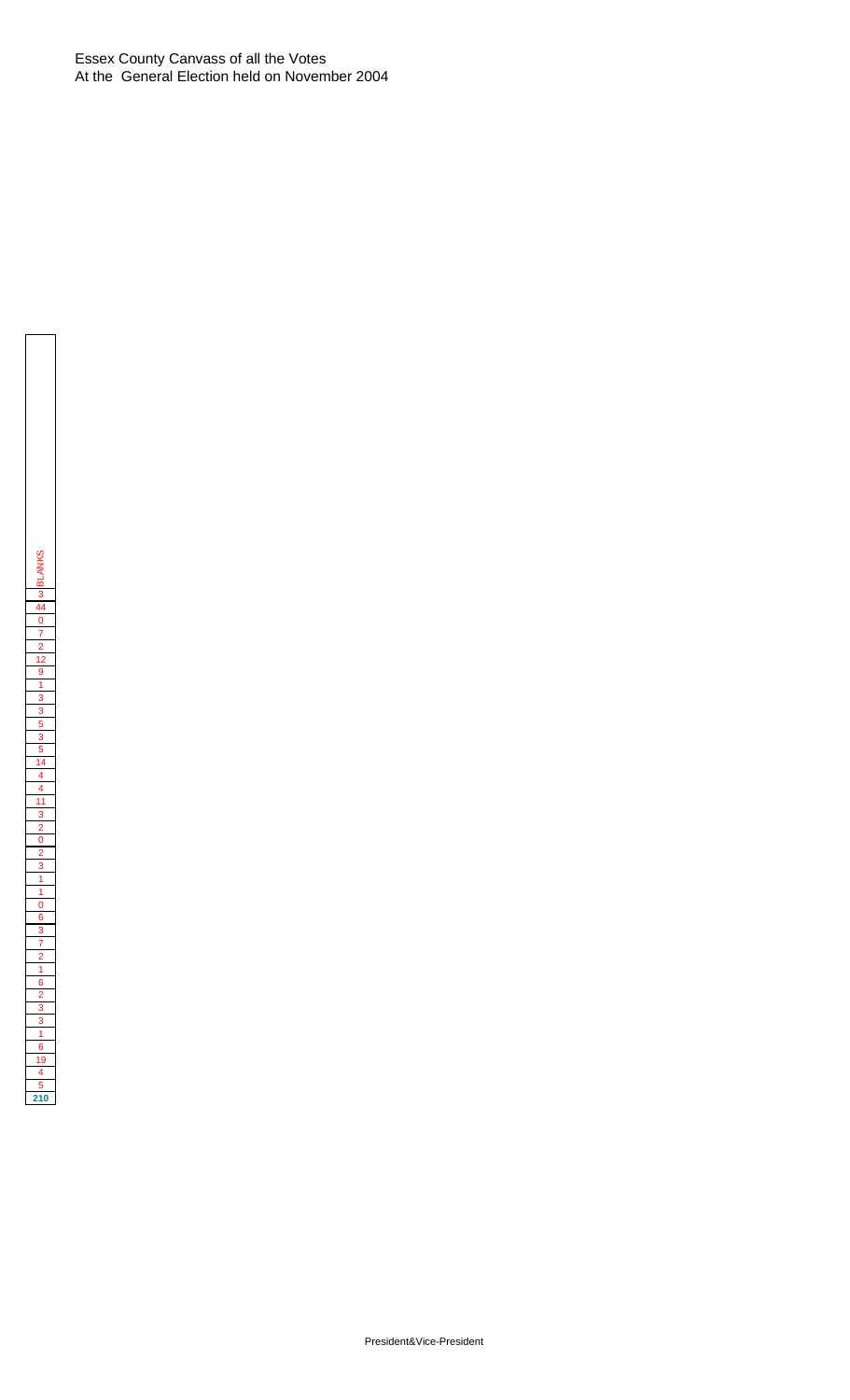Essex County Canvass of all the Votes At the General Election held on November 2004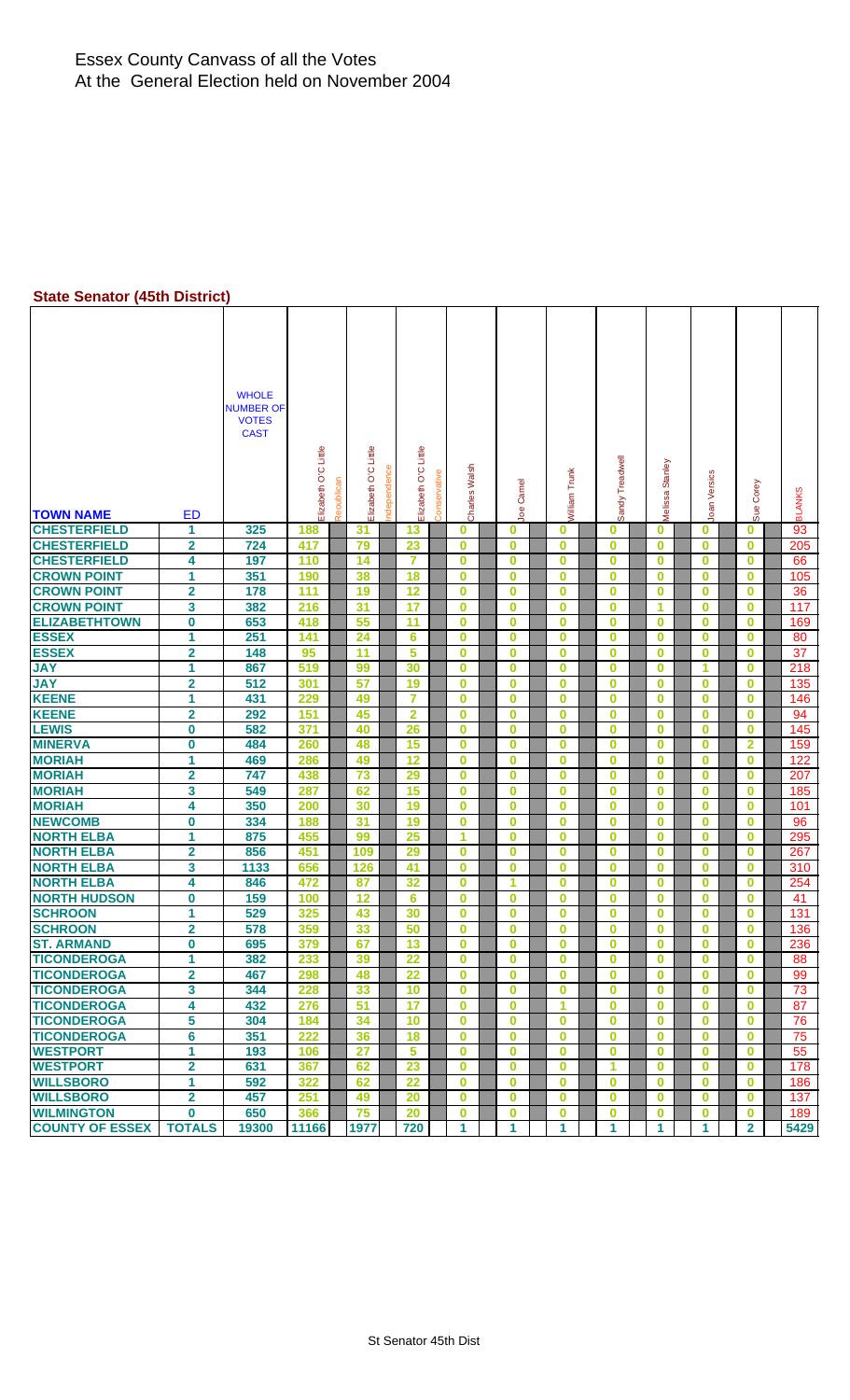#### Essex County Canvass of all the Votes At the General Election held on November 2004

#### **State Senator (45th District)**

| <b>TOWN NAME</b>       | ED                      | <b>WHOLE</b><br><b>NUMBER OF</b><br><b>VOTES</b><br><b>CAST</b> | Elizabeth O'C Little | Reoublican | Elizabeth O'C Little | O'C Little<br>Elizabeth | Conservative | Charles Walsh | <b>Joe Camel</b> | <b>Nilliam Trunk</b> | Sandy Treadwell | Melissa Stanley | Joan Versics | Sue Corey      | <b>BLANKS</b> |
|------------------------|-------------------------|-----------------------------------------------------------------|----------------------|------------|----------------------|-------------------------|--------------|---------------|------------------|----------------------|-----------------|-----------------|--------------|----------------|---------------|
| <b>CHESTERFIELD</b>    | 1                       | 325                                                             | 188                  |            | 31                   | 13                      |              | 0             | $\bf{0}$         | $\bf{0}$             | $\bf{0}$        | 0               | $\mathbf 0$  | $\mathbf{0}$   | 93            |
| <b>CHESTERFIELD</b>    | $\overline{2}$          | 724                                                             | 417                  |            | 79                   | 23                      |              | $\bf{0}$      | $\bf{0}$         | $\bf{0}$             | $\bf{0}$        | $\bf{0}$        | $\bf{0}$     | $\bf{0}$       | 205           |
| <b>CHESTERFIELD</b>    | 4                       | 197                                                             | 110                  |            | 14                   | $\overline{7}$          |              | $\bf{0}$      | $\bf{0}$         | $\bf{0}$             | $\bf{0}$        | $\bf{0}$        | $\bf{0}$     | 0              | 66            |
| <b>CROWN POINT</b>     | 1                       | 351                                                             | 190                  |            | 38                   | 18                      |              | $\bf{0}$      | $\bf{0}$         | $\bf{0}$             | $\bf{0}$        | $\bf{0}$        | $\bf{0}$     | $\bf{0}$       | 105           |
| <b>CROWN POINT</b>     | $\overline{\mathbf{2}}$ | 178                                                             | 111                  |            | 19                   | 12                      |              | 0             | $\bf{0}$         | $\bf{0}$             | $\bf{0}$        | $\bf{0}$        | $\bf{0}$     | $\bf{0}$       | 36            |
| <b>CROWN POINT</b>     | 3                       | 382                                                             | 216                  |            | 31                   | 17                      |              | $\bf{0}$      | $\bf{0}$         | $\bf{0}$             | $\bf{0}$        | 1               | 0            | $\mathbf{0}$   | 117           |
| <b>ELIZABETHTOWN</b>   | $\bf{0}$                | 653                                                             | 418                  |            | 55                   | 11                      |              | $\bf{0}$      | $\bf{0}$         | $\bf{0}$             | $\bf{0}$        | 0               | 0            | 0              | 169           |
| <b>ESSEX</b>           | 1                       | 251                                                             | 141                  |            | 24                   | 6                       |              | 0             | $\bf{0}$         | $\bf{0}$             | $\bf{0}$        | 0               | $\bf{0}$     | 0              | 80            |
| <b>ESSEX</b>           | $\overline{\mathbf{2}}$ | 148                                                             | 95                   |            | 11                   | 5                       |              | $\bf{0}$      | $\bf{0}$         | $\bf{0}$             | $\bf{0}$        | 0               | 0            | 0              | 37            |
| <b>JAY</b>             | 1                       | 867                                                             | 519                  |            | 99                   | 30                      |              | $\bf{0}$      | $\bf{0}$         | $\bf{0}$             | $\bf{0}$        | 0               | 1            | 0              | 218           |
| <b>JAY</b>             | $\overline{\mathbf{2}}$ | 512                                                             | 301                  |            | 57                   | 19                      |              | $\bf{0}$      | $\bf{0}$         | $\bf{0}$             | $\bf{0}$        | $\bf{0}$        | $\bf{0}$     | $\bf{0}$       | 135           |
| <b>KEENE</b>           | 1                       | 431                                                             | 229                  |            | 49                   | 7                       |              | $\bf{0}$      | $\bf{0}$         | $\bf{0}$             | $\bf{0}$        | 0               | 0            | 0              | 146           |
| <b>KEENE</b>           | 2                       | 292                                                             | 151                  |            | 45                   | $\overline{2}$          |              | $\bf{0}$      | $\bf{0}$         | $\bf{0}$             | $\bf{0}$        | 0               | 0            | 0              | 94            |
| <b>LEWIS</b>           | $\bf{0}$                | 582                                                             | 371                  |            | 40                   | 26                      |              | 0             | $\bf{0}$         | $\bf{0}$             | $\bf{0}$        | $\bf{0}$        | $\bf{0}$     | $\bf{0}$       | 145           |
| <b>MINERVA</b>         | 0                       | 484                                                             | 260                  |            | 48                   | 15                      |              | $\bf{0}$      | $\bf{0}$         | $\bf{0}$             | $\bf{0}$        | 0               | 0            | 2              | 159           |
| <b>MORIAH</b>          | 1                       | 469                                                             | 286                  |            | 49                   | 12                      |              | $\bf{0}$      | $\bf{0}$         | $\bf{0}$             | $\bf{0}$        | 0               | 0            | 0              | 122           |
| <b>MORIAH</b>          | $\overline{\mathbf{2}}$ | 747                                                             | 438                  |            | 73                   | 29                      |              | $\bf{0}$      | $\bf{0}$         | $\bf{0}$             | $\bf{0}$        | $\bf{0}$        | $\bf{0}$     | $\bf{0}$       | 207           |
| <b>MORIAH</b>          | 3                       | 549                                                             | 287                  |            | 62                   | 15                      |              | $\bf{0}$      | $\bf{0}$         | $\bf{0}$             | $\bf{0}$        | $\bf{0}$        | 0            | 0              | 185           |
| <b>MORIAH</b>          | 4                       | 350                                                             | 200                  |            | 30                   | 19                      |              | 0             | $\bf{0}$         | $\bf{0}$             | $\bf{0}$        | 0               | 0            | 0              | 101           |
| <b>NEWCOMB</b>         | $\bf{0}$                | 334                                                             | 188                  |            | 31                   | 19                      |              | $\bf{0}$      | $\bf{0}$         | $\bf{0}$             | $\bf{0}$        | $\bf{0}$        | 0            | $\bf{0}$       | 96            |
| <b>NORTH ELBA</b>      | 1                       | 875                                                             | 455                  |            | 99                   | 25                      |              | 1             | $\bf{0}$         | $\bf{0}$             | $\bf{0}$        | $\bf{0}$        | 0            | $\bf{0}$       | 295           |
| <b>NORTH ELBA</b>      | 2                       | 856                                                             | 451                  |            | 109                  | 29                      |              | $\bf{0}$      | $\bf{0}$         | $\bf{0}$             | $\bf{0}$        | 0               | 0            | 0              | 267           |
| <b>NORTH ELBA</b>      | 3                       | 1133                                                            | 656                  |            | 126                  | 41                      |              | $\bf{0}$      | $\bf{0}$         | $\bf{0}$             | $\bf{0}$        | $\bf{0}$        | $\bf{0}$     | $\bf{0}$       | 310           |
| <b>NORTH ELBA</b>      | 4                       | 846                                                             | 472                  |            | 87                   | 32                      |              | $\bf{0}$      | 1                | $\bf{0}$             | $\bf{0}$        | $\bf{0}$        | $\bf{0}$     | 0              | 254           |
| <b>NORTH HUDSON</b>    | 0                       | 159                                                             | 100                  |            | 12                   | 6                       |              | $\bf{0}$      | $\bf{0}$         | $\bf{0}$             | $\bf{0}$        | 0               | 0            | 0              | 41            |
| <b>SCHROON</b>         | 1                       | 529                                                             | 325                  |            | 43                   | 30                      |              | $\bf{0}$      | $\bf{0}$         | $\bf{0}$             | $\bf{0}$        | 0               | 0            | $\bf{0}$       | 131           |
| <b>SCHROON</b>         | 2                       | 578                                                             | 359                  |            | 33                   | 50                      |              | $\bf{0}$      | υ                | 0                    | 0               | 0               | 0            | $\mathbf 0$    | 136           |
| <b>ST. ARMAND</b>      | $\bf{0}$                | 695                                                             | 379                  |            | 67                   | 13                      |              | $\bf{0}$      | $\bf{0}$         | $\bf{0}$             | $\bf{0}$        | $\bf{0}$        | $\bf{0}$     | $\bf{0}$       | 236           |
| <b>TICONDEROGA</b>     | 1                       | 382                                                             | 233                  |            | 39                   | 22                      |              | $\bf{0}$      | $\bf{0}$         | $\bf{0}$             | $\bf{0}$        | 0               | 0            | $\bf{0}$       | 88            |
| <b>TICONDEROGA</b>     | $\overline{\mathbf{2}}$ | 467                                                             | 298                  |            | 48                   | $\overline{22}$         |              | $\mathbf 0$   | $\bf{0}$         | $\bf{0}$             | $\bf{0}$        | $\bf{0}$        | $\bf{0}$     | $\bf{0}$       | 99            |
| <b>TICONDEROGA</b>     | 3                       | 344                                                             | 228                  |            | 33                   | 10                      |              | $\mathbf 0$   | $\bf{0}$         | $\bf{0}$             | $\mathbf 0$     | $\bf{0}$        | $\bf{0}$     | 0              | 73            |
| <b>TICONDEROGA</b>     | 4                       | 432                                                             | 276                  |            | 51                   | 17                      |              | $\bf{0}$      | $\bf{0}$         | 1                    | $\bf{0}$        | 0               | $\bf{0}$     | 0              | 87            |
| <b>TICONDEROGA</b>     | 5                       | 304                                                             | 184                  |            | 34                   | 10                      |              | 0             | $\bf{0}$         | $\bf{0}$             | $\mathbf 0$     | $\bf{0}$        | $\bf{0}$     | 0              | 76            |
| <b>TICONDEROGA</b>     | 6                       | 351                                                             | 222                  |            | 36                   | 18                      |              | $\mathbf 0$   | $\bf{0}$         | $\bf{0}$             | $\mathbf 0$     | 0               | 0            | 0              | 75            |
| <b>WESTPORT</b>        | 1                       | 193                                                             | 106                  |            | 27                   | 5                       |              | $\bf{0}$      | $\bf{0}$         | $\bf{0}$             | $\bf{0}$        | $\bf{0}$        | $\bf{0}$     | 0              | 55            |
| <b>WESTPORT</b>        | $\overline{\mathbf{2}}$ | 631                                                             | 367                  |            | 62                   | 23                      |              | $\mathbf{0}$  | $\bf{0}$         | $\bf{0}$             | 1               | $\bf{0}$        | $\bf{0}$     | $\bf{0}$       | 178           |
| <b>WILLSBORO</b>       | 1                       | 592                                                             | 322                  |            | 62                   | 22                      |              | $\bf{0}$      | $\bf{0}$         | $\bf{0}$             | $\mathbf 0$     | 0               | 0            | 0              | 186           |
| <b>WILLSBORO</b>       | 2                       | 457                                                             | 251                  |            | 49                   | 20                      |              | 0             | $\bf{0}$         | $\bf{0}$             | $\mathbf 0$     | 0               | 0            | 0              | 137           |
| <b>WILMINGTON</b>      | $\bf{0}$                | 650                                                             | 366                  |            | 75                   | 20                      |              | 0             | $\bf{0}$         | $\bf{0}$             | $\mathbf 0$     | 0               | $\bf{0}$     | $\bf{0}$       | 189           |
| <b>COUNTY OF ESSEX</b> | <b>TOTALS</b>           | 19300                                                           | 11166                |            | 1977                 | 720                     |              | 1             | 1                | 1                    | 1               | 1.              | 1.           | $\overline{2}$ | 5429          |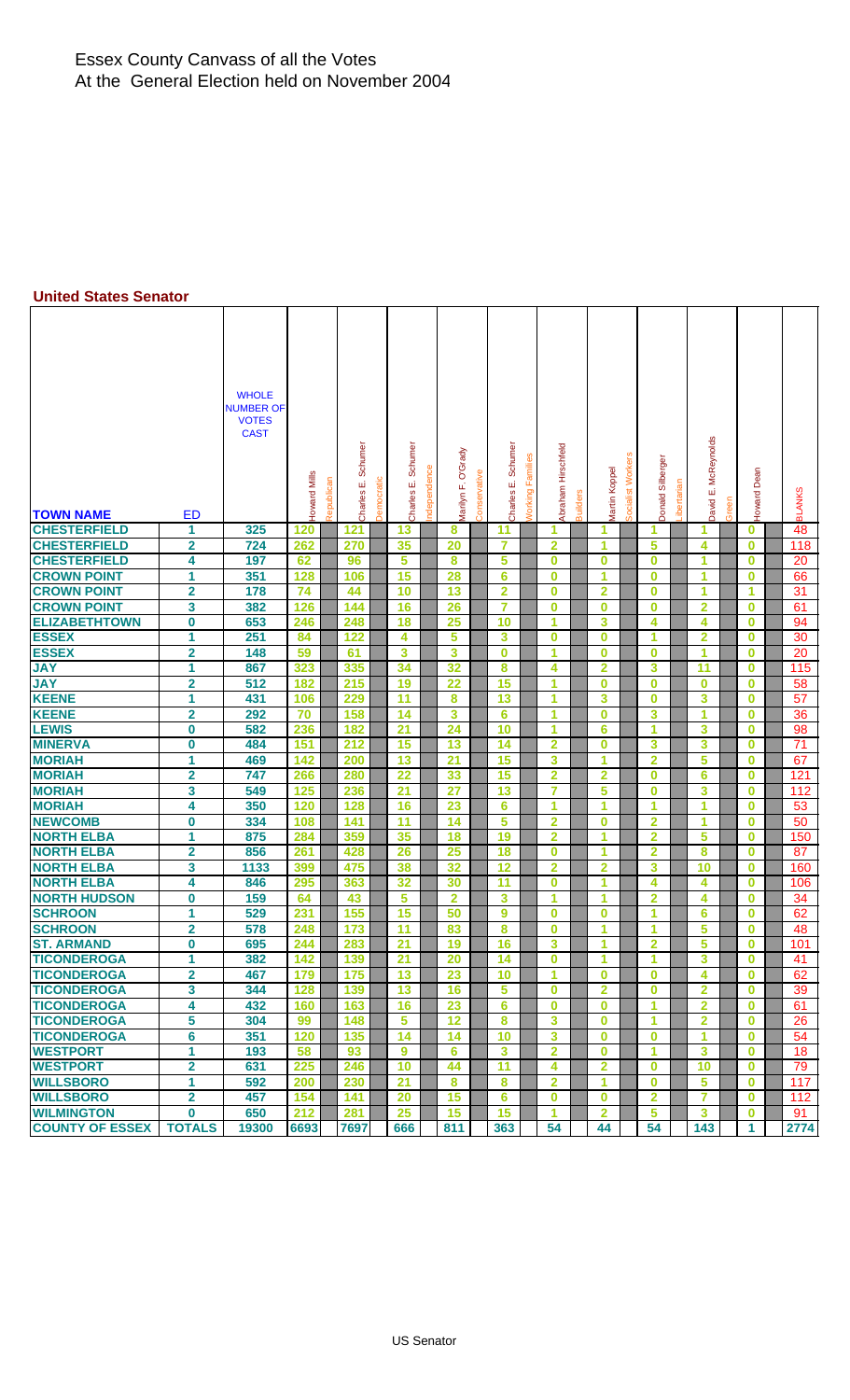#### Essex County Canvass of all the Votes At the General Election held on November 2004

#### **United States Senator**

| <b>TOWN NAME</b>                        | <b>ED</b>                           | <b>WHOLE</b><br><b>NUMBER OF</b><br><b>VOTES</b><br><b>CAST</b> | Howard Mills<br>Republican | Schumer<br>Democratic<br>Charles E. | Schumer<br>Charles E. | Grady<br>Ò<br>u,<br>Marilyn | Conservative | Charles E. Schumer | <b>Norking Families</b> | Abraham Hirschfeld      | Martin Koppel           | Socialist Worker | Donald Silberger        | ibertarian | McReynolds<br>ші<br><b>David</b> | Green | Dean<br>Howard       | <b>BLANKS</b>   |
|-----------------------------------------|-------------------------------------|-----------------------------------------------------------------|----------------------------|-------------------------------------|-----------------------|-----------------------------|--------------|--------------------|-------------------------|-------------------------|-------------------------|------------------|-------------------------|------------|----------------------------------|-------|----------------------|-----------------|
| <b>CHESTERFIELD</b>                     | 1                                   | 325                                                             | 120                        | 121                                 | 13                    | 8                           |              | 11                 |                         | 1                       | 1                       |                  | 1                       |            | 1                                |       | $\bf{0}$             | 48              |
| <b>CHESTERFIELD</b>                     | $\overline{\mathbf{2}}$             | 724                                                             | 262                        | 270                                 | 35                    | 20                          |              | $\overline{7}$     |                         | $\overline{2}$          | 1                       |                  | 5                       |            | 4                                |       | $\bf{0}$             | 118             |
| <b>CHESTERFIELD</b>                     | 4                                   | 197                                                             | 62                         | 96                                  | 5                     | 8                           |              | 5                  |                         | $\bf{0}$                | $\bf{0}$                |                  | $\bf{0}$                |            | 1                                |       | $\bf{0}$             | 20              |
| <b>CROWN POINT</b>                      | 1                                   | 351                                                             | 128                        | 106                                 | 15                    | 28                          |              | 6                  |                         | $\bf{0}$                | 1                       |                  | 0                       |            | 1                                |       | 0                    | 66              |
| <b>CROWN POINT</b>                      | 2                                   | 178                                                             | 74                         | 44                                  | 10                    | 13                          |              | 2                  |                         | $\bf{0}$                | $\overline{\mathbf{2}}$ |                  | $\bf{0}$                |            | 1                                |       | 1                    | 31              |
| <b>CROWN POINT</b>                      | 3                                   | 382                                                             | 126                        | 144                                 | 16                    | 26                          |              | $\overline{7}$     |                         | $\bf{0}$                | $\bf{0}$                |                  | $\bf{0}$                |            | $\overline{2}$                   |       | $\bf{0}$             | 61              |
| <b>ELIZABETHTOWN</b>                    | $\bf{0}$                            | 653                                                             | 246                        | 248                                 | 18                    | 25                          |              | 10                 |                         | 1                       | 3                       |                  | 4                       |            | 4                                |       | $\bf{0}$             | 94              |
| <b>ESSEX</b>                            | 1                                   | 251                                                             | 84                         | 122                                 | 4                     | 5                           |              | 3                  |                         | $\bf{0}$                | $\bf{0}$                |                  | 1                       |            | $\overline{2}$                   |       | 0                    | 30              |
| <b>ESSEX</b>                            | $\overline{\mathbf{2}}$             | 148                                                             | 59                         | 61                                  | 3                     | 3                           |              | $\bf{0}$           |                         | 1                       | $\bf{0}$                |                  | $\bf{0}$                |            | 1                                |       | $\bf{0}$             | 20              |
| <b>JAY</b>                              | 1                                   | 867                                                             | 323                        | 335                                 | 34                    | 32                          |              | 8                  |                         | 4                       | $\overline{2}$          |                  | 3                       |            | 11                               |       | 0                    | 115             |
| <b>JAY</b>                              | 2                                   | 512                                                             | 182                        | 215                                 | 19                    | 22                          |              | 15                 |                         | 1                       | $\bf{0}$                |                  | $\bf{0}$                |            | $\bf{0}$                         |       | 0                    | 58              |
| <b>KEENE</b>                            | 1                                   | 431                                                             | 106                        | 229                                 | $\overline{11}$       | 8                           |              | 13                 |                         | 1                       | 3                       |                  | $\bf{0}$                |            | 3                                |       | 0                    | 57              |
| <b>KEENE</b>                            | $\overline{\mathbf{2}}$             | 292                                                             | 70                         | 158                                 | 14                    | 3                           |              | 6                  |                         | 1                       | $\bf{0}$                |                  | 3                       |            | 1                                |       | $\bf{0}$             | 36              |
| <b>LEWIS</b>                            | $\bf{0}$                            | 582                                                             | 236                        | 182                                 | $\overline{21}$       | 24                          |              | 10                 |                         | 1                       | 6                       |                  | 1                       |            | 3                                |       | 0                    | 98              |
| <b>MINERVA</b>                          | 0                                   | 484                                                             | 151                        | 212                                 | 15                    | 13                          |              | 14                 |                         | $\overline{2}$          | $\bf{0}$                |                  | 3                       |            | 3                                |       | $\bf{0}$             | $\overline{71}$ |
| <b>MORIAH</b>                           | 1                                   | 469                                                             | 142                        | 200                                 | 13                    | 21                          |              | 15                 |                         | 3                       | 1                       |                  | $\overline{\mathbf{2}}$ |            | 5                                |       | $\bf{0}$             | 67              |
| <b>MORIAH</b>                           | $\overline{\mathbf{2}}$             | 747                                                             | 266                        | 280                                 | 22                    | 33                          |              | 15                 |                         | $\overline{2}$          | $\overline{2}$          |                  | $\bf{0}$                |            | 6                                |       | 0                    | 121             |
| <b>MORIAH</b>                           | 3                                   | 549                                                             | 125                        | 236                                 | 21                    | $\overline{27}$             |              | 13                 |                         | 7                       | 5                       |                  | $\bf{0}$                |            | 3                                |       | $\bf{0}$             | 112             |
| <b>MORIAH</b>                           | 4                                   | 350                                                             | 120                        | 128                                 | 16                    | 23                          |              | $6\phantom{1}$     |                         | 1                       | 1                       |                  | 1                       |            | 1                                |       | $\bf{0}$             | 53              |
| <b>NEWCOMB</b>                          | 0                                   | 334                                                             | 108                        | 141                                 | 11                    | 14                          |              | 5                  |                         | $\overline{2}$          | $\bf{0}$                |                  | $\overline{\mathbf{2}}$ |            | 1                                |       | $\bf{0}$             | 50              |
| <b>NORTH ELBA</b>                       | 1                                   | 875                                                             | 284                        | 359                                 | 35                    | 18                          |              | 19                 |                         | $\overline{2}$          | 1                       |                  | $\overline{2}$          |            | 5                                |       | $\bf{0}$             | 150             |
| <b>NORTH ELBA</b>                       | $\mathbf{2}$                        | 856                                                             | 261                        | 428                                 | 26                    | 25                          |              | 18                 |                         | $\bf{0}$                | 1                       |                  | $\overline{\mathbf{2}}$ |            | 8                                |       | 0                    | 87              |
| <b>NORTH ELBA</b>                       | 3                                   | 1133                                                            | 399                        | 475                                 | 38                    | 32                          |              | 12                 |                         | $\overline{2}$          | 2                       |                  | 3                       |            | 10                               |       | 0                    | 160             |
| <b>NORTH ELBA</b>                       | 4                                   | 846                                                             | 295                        | 363                                 | 32                    | 30                          |              | 11                 |                         | $\bf{0}$                | 1                       |                  | 4                       |            | 4                                |       | 0                    | 106             |
| <b>NORTH HUDSON</b>                     | $\bf{0}$                            | 159                                                             | 64                         | 43                                  | 5                     | $\overline{2}$              |              | 3                  |                         | 1                       | 1                       |                  | $\overline{\mathbf{2}}$ |            | 4                                |       | $\bf{0}$             | 34              |
| <b>SCHROON</b>                          | 1                                   | 529                                                             | 231                        | 155                                 | 15                    | 50                          |              | 9                  |                         | $\bf{0}$                | $\bf{0}$<br>4           |                  | 1                       |            | 6                                |       | $\bf{0}$             | 62              |
| <b>SCHROON</b>                          | $\overline{\mathbf{2}}$<br>$\bf{0}$ | 578<br>695                                                      | 248                        | 173                                 | 11<br>$\overline{21}$ | 83                          |              | 8<br>16            |                         | $\bf{0}$<br>3           |                         |                  | 1                       |            | 5<br>5                           |       | $\bf{0}$             | 48              |
| <b>ST. ARMAND</b><br><b>TICONDEROGA</b> |                                     |                                                                 | 244                        | 283                                 |                       | 19                          |              |                    |                         | $\bf{0}$                | 1<br>1.                 |                  | $\overline{2}$          |            |                                  |       | $\bf{0}$             | 101             |
| <b>TICONDEROGA</b>                      | 1<br>2                              | 382<br>467                                                      | 142<br>179                 | 139<br>175                          | 21<br>13              | 20<br>23                    |              | 14<br>10           |                         | 1                       | $\bf{0}$                |                  | 1.<br>$\bf{0}$          |            | 3<br>4                           |       | $\bf{0}$<br>$\bf{0}$ | 41<br>62        |
| <b>TICONDEROGA</b>                      | 3                                   | 344                                                             | 128                        | 139                                 | 13                    | 16                          |              | $5\phantom{.0}$    |                         | $\bf{0}$                | $\overline{2}$          |                  | $\bf{0}$                |            | $\overline{2}$                   |       | $\bf{0}$             | 39              |
| <b>TICONDEROGA</b>                      | 4                                   | 432                                                             | 160                        | 163                                 | 16                    | 23                          |              | 6                  |                         | $\bf{0}$                | $\bf{0}$                |                  | 1                       |            | $\overline{2}$                   |       | $\bf{0}$             | 61              |
| <b>TICONDEROGA</b>                      | 5                                   | 304                                                             | 99                         | 148                                 | 5                     | 12                          |              | 8                  |                         | 3                       | $\bf{0}$                |                  | 1.                      |            | $\mathbf{2}$                     |       | $\bf{0}$             | 26              |
| <b>TICONDEROGA</b>                      | 6                                   | 351                                                             | 120                        | 135                                 | 14                    | 14                          |              | 10                 |                         | 3                       | $\bf{0}$                |                  | $\bf{0}$                |            | 1                                |       | $\bf{0}$             | 54              |
| <b>WESTPORT</b>                         | 1                                   | 193                                                             | 58                         | 93                                  | 9                     | 6                           |              | $\mathbf{3}$       |                         | $\overline{2}$          | $\bf{0}$                |                  | 1                       |            | 3                                |       | $\bf{0}$             | 18              |
| <b>WESTPORT</b>                         | $\overline{\mathbf{2}}$             | 631                                                             | 225                        | 246                                 | 10                    | 44                          |              | 11                 |                         | 4                       | $\overline{2}$          |                  | 0                       |            | 10                               |       | $\bf{0}$             | 79              |
| <b>WILLSBORO</b>                        | 1                                   | 592                                                             | 200                        | 230                                 | 21                    | 8                           |              | 8                  |                         | $\overline{\mathbf{2}}$ | 1.                      |                  | $\bf{0}$                |            | 5                                |       | $\bf{0}$             | 117             |
| <b>WILLSBORO</b>                        | $\overline{2}$                      | 457                                                             | 154                        | 141                                 | 20                    | 15                          |              | 6                  |                         | $\bf{0}$                | $\bf{0}$                |                  | $\overline{2}$          |            | $\overline{7}$                   |       | $\bf{0}$             | 112             |
| <b>WILMINGTON</b>                       | $\bf{0}$                            | 650                                                             | 212                        | 281                                 | 25                    | 15                          |              | 15                 |                         | 1                       | $\overline{2}$          |                  | 5                       |            | 3                                |       | $\bf{0}$             | 91              |
| <b>COUNTY OF ESSEX</b>                  | <b>TOTALS</b>                       | 19300                                                           | 6693                       | 7697                                | 666                   | 811                         |              | 363                |                         | 54                      | 44                      |                  | 54                      |            | 143                              |       | $\mathbf{1}$         | 2774            |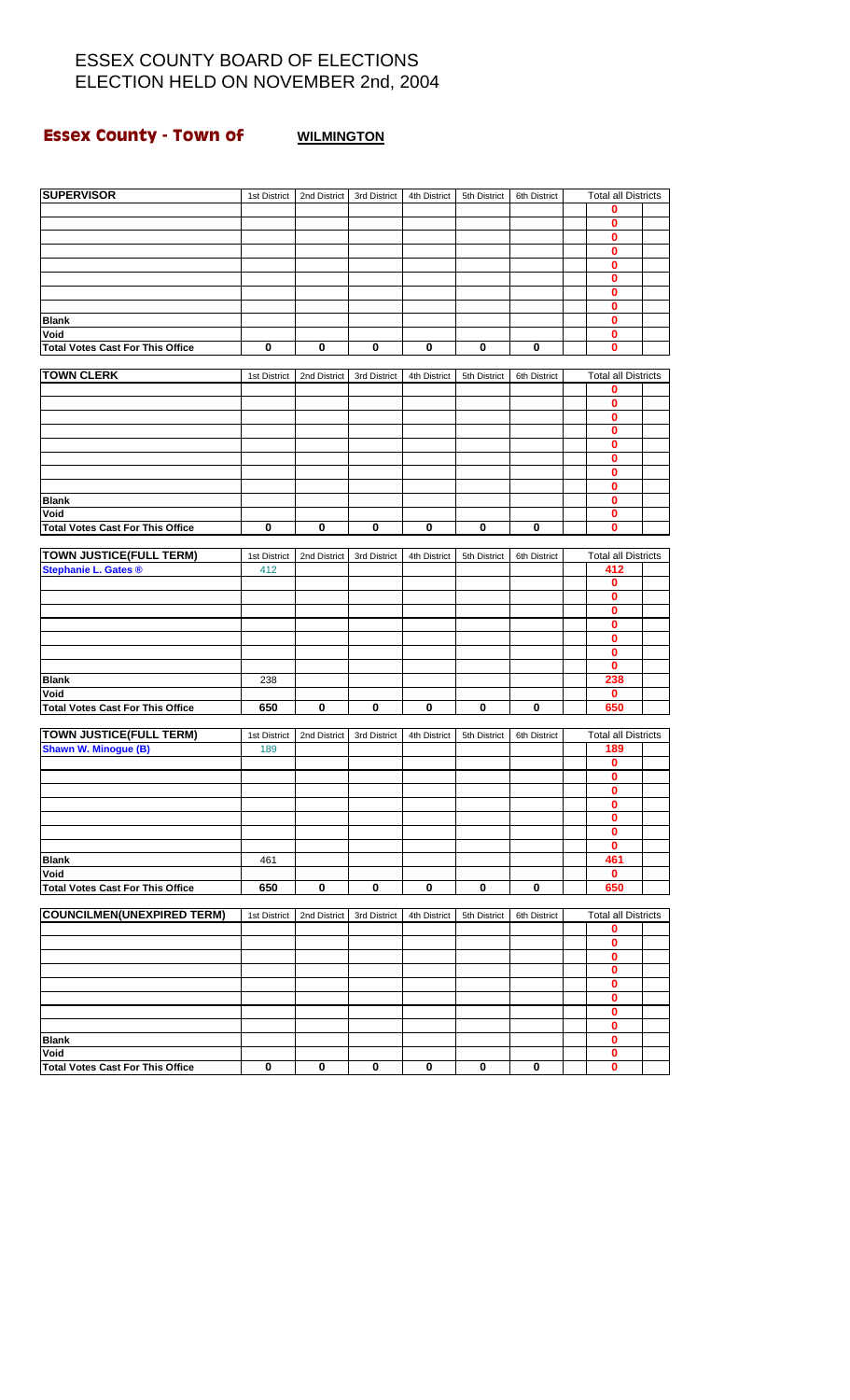# **Essex County - Town of WILMINGTON**

| <b>SUPERVISOR</b>                       | 1st District | 2nd District | 3rd District | 4th District | 5th District | 6th District | <b>Total all Districts</b> |  |
|-----------------------------------------|--------------|--------------|--------------|--------------|--------------|--------------|----------------------------|--|
|                                         |              |              |              |              |              |              | 0                          |  |
|                                         |              |              |              |              |              |              | 0                          |  |
|                                         |              |              |              |              |              |              | 0                          |  |
|                                         |              |              |              |              |              |              | 0                          |  |
|                                         |              |              |              |              |              |              |                            |  |
|                                         |              |              |              |              |              |              | 0                          |  |
|                                         |              |              |              |              |              |              | 0                          |  |
|                                         |              |              |              |              |              |              | 0                          |  |
|                                         |              |              |              |              |              |              | 0                          |  |
| <b>Blank</b>                            |              |              |              |              |              |              | 0                          |  |
| Void                                    |              |              |              |              |              |              | 0                          |  |
| <b>Total Votes Cast For This Office</b> | 0            | 0            | 0            | 0            | 0            | 0            | 0                          |  |
|                                         |              |              |              |              |              |              |                            |  |
| <b>TOWN CLERK</b>                       | 1st District | 2nd District | 3rd District | 4th District | 5th District | 6th District | <b>Total all Districts</b> |  |
|                                         |              |              |              |              |              |              |                            |  |
|                                         |              |              |              |              |              |              | 0                          |  |
|                                         |              |              |              |              |              |              | 0                          |  |
|                                         |              |              |              |              |              |              | 0                          |  |
|                                         |              |              |              |              |              |              | 0                          |  |
|                                         |              |              |              |              |              |              | 0                          |  |
|                                         |              |              |              |              |              |              | 0                          |  |
|                                         |              |              |              |              |              |              | 0                          |  |
|                                         |              |              |              |              |              |              | 0                          |  |
|                                         |              |              |              |              |              |              |                            |  |
| <b>Blank</b>                            |              |              |              |              |              |              | 0                          |  |
| Void                                    |              |              |              |              |              |              | 0                          |  |
| <b>Total Votes Cast For This Office</b> | $\bf{0}$     | 0            | 0            | $\pmb{0}$    | 0            | 0            | 0                          |  |
|                                         |              |              |              |              |              |              |                            |  |
| <b>TOWN JUSTICE(FULL TERM)</b>          | 1st District | 2nd District | 3rd District | 4th District | 5th District | 6th District | <b>Total all Districts</b> |  |
| Stephanie L. Gates ®                    | 412          |              |              |              |              |              | 412                        |  |
|                                         |              |              |              |              |              |              | 0                          |  |
|                                         |              |              |              |              |              |              | 0                          |  |
|                                         |              |              |              |              |              |              | $\bf{0}$                   |  |
|                                         |              |              |              |              |              |              |                            |  |
|                                         |              |              |              |              |              |              | 0                          |  |
|                                         |              |              |              |              |              |              | 0                          |  |
|                                         |              |              |              |              |              |              | 0                          |  |
|                                         |              |              |              |              |              |              | 0                          |  |
| <b>Blank</b>                            | 238          |              |              |              |              |              | 238                        |  |
| Void                                    |              |              |              |              |              |              | 0                          |  |
| <b>Total Votes Cast For This Office</b> | 650          | $\pmb{0}$    | $\pmb{0}$    | $\pmb{0}$    | $\mathbf 0$  | 0            | 650                        |  |
|                                         |              |              |              |              |              |              |                            |  |
| <b>TOWN JUSTICE(FULL TERM)</b>          | 1st District |              |              |              |              | 6th District | <b>Total all Districts</b> |  |
|                                         |              | 2nd District | 3rd District | 4th District | 5th District |              |                            |  |
| <b>Shawn W. Minogue (B)</b>             | 189          |              |              |              |              |              | 189                        |  |
|                                         |              |              |              |              |              |              | 0                          |  |
|                                         |              |              |              |              |              |              | 0                          |  |
|                                         |              |              |              |              |              |              | 0                          |  |
|                                         |              |              |              |              |              |              | o                          |  |
|                                         |              |              |              |              |              |              | 0                          |  |
|                                         |              |              |              |              |              |              | 0                          |  |
|                                         |              |              |              |              |              |              | 0                          |  |
| <b>Blank</b>                            | 461          |              |              |              |              |              | 461                        |  |
|                                         |              |              |              |              |              |              |                            |  |
| Void                                    |              |              |              |              |              |              | 0                          |  |
| <b>Total Votes Cast For This Office</b> | 650          | 0            | 0            | 0            | 0            | 0            | 650                        |  |
|                                         |              |              |              |              |              |              |                            |  |
| <b>COUNCILMEN(UNEXPIRED TERM)</b>       | 1st District | 2nd District | 3rd District | 4th District | 5th District | 6th District | <b>Total all Districts</b> |  |
|                                         |              |              |              |              |              |              | 0                          |  |
|                                         |              |              |              |              |              |              | 0                          |  |
|                                         |              |              |              |              |              |              | 0                          |  |
|                                         |              |              |              |              |              |              | 0                          |  |
|                                         |              |              |              |              |              |              |                            |  |
|                                         |              |              |              |              |              |              | 0                          |  |
|                                         |              |              |              |              |              |              | 0                          |  |
|                                         |              |              |              |              |              |              | 0                          |  |
|                                         |              |              |              |              |              |              | 0                          |  |
| <b>Blank</b>                            |              |              |              |              |              |              | 0                          |  |
| Void                                    |              |              |              |              |              |              |                            |  |
|                                         |              |              |              |              |              |              |                            |  |
| <b>Total Votes Cast For This Office</b> | $\bf{0}$     | $\mathbf 0$  | $\bf{0}$     | $\pmb{0}$    | 0            | $\mathbf 0$  | 0<br>0                     |  |